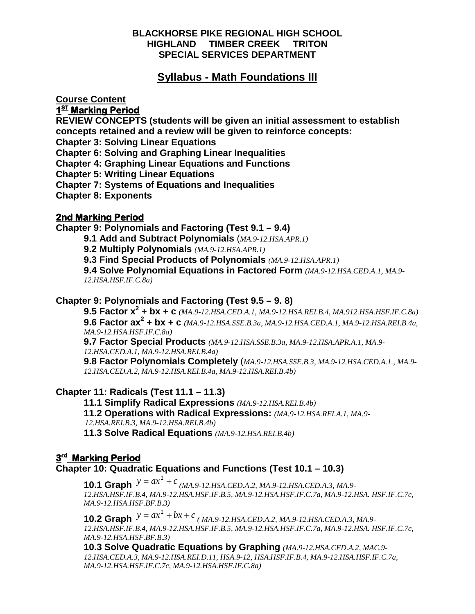# **BLACKHORSE PIKE REGIONAL HIGH SCHOOL HIGHLAND TIMBER CREEK TRITON SPECIAL SERVICES DEPARTMENT**

# **Syllabus - Math Foundations III**

**Course Content**

**1<sup>st</sup> Marking Period** 

**REVIEW CONCEPTS (students will be given an initial assessment to establish concepts retained and a review will be given to reinforce concepts:**

**Chapter 3: Solving Linear Equations** 

**Chapter 6: Solving and Graphing Linear Inequalities**

**Chapter 4: Graphing Linear Equations and Functions** 

**Chapter 5: Writing Linear Equations**

**Chapter 7: Systems of Equations and Inequalities**

**Chapter 8: Exponents**

# **2nd Marking Period**

**Chapter 9: Polynomials and Factoring (Test 9.1 – 9.4)**

**9.1 Add and Subtract Polynomials** (*MA.9-12.HSA.APR.1)*

**9.2 Multiply Polynomials** *(MA.9-12.HSA.APR.1)*

**9.3 Find Special Products of Polynomials** *(MA.9-12.HSA.APR.1)*

**9.4 Solve Polynomial Equations in Factored Form** *(MA.9-12.HSA.CED.A.1, MA.9- 12.HSA.HSF.IF.C.8a)*

# **Chapter 9: Polynomials and Factoring (Test 9.5 – 9. 8)**

**9.5 Factor x2 + bx + c** *(MA.9-12.HSA.CED.A.1, MA.9-12.HSA.REI.B.4, MA.912.HSA.HSF.IF.C.8a)* **9.6 Factor ax2 + bx + c** *(MA.9-12.HSA.SSE.B.3a, MA.9-12.HSA.CED.A.1, MA.9-12.HSA.REI.B.4a, MA.9-12.HSA.HSF.IF.C.8a)*

**9.7 Factor Special Products** *(MA.9-12.HSA.SSE.B.3a, MA.9-12.HSA.APR.A.1, MA.9- 12.HSA.CED.A.1, MA.9-12.HSA.REI.B.4a)*

**9.8 Factor Polynomials Completely** (*MA.9-12.HSA.SSE.B.3, MA.9-12.HSA.CED.A.1., MA.9- 12.HSA.CED.A.2, MA.9-12.HSA.REI.B.4a, MA.9-12.HSA.REI.B.4b)*

# **Chapter 11: Radicals (Test 11.1 – 11.3)**

**11.1 Simplify Radical Expressions** *(MA.9-12.HSA.REI.B.4b)*

**11.2 Operations with Radical Expressions:** *(MA.9-12.HSA.REI.A.1, MA.9-*

 *12.HSA.REI.B.3, MA.9-12.HSA.REI.B.4b)*

**11.3 Solve Radical Equations** *(MA.9-12.HSA.REI.B.4b)*

# **3rd Marking Period**

**Chapter 10: Quadratic Equations and Functions (Test 10.1 – 10.3)**

**10.1 Graph**  $y = ax^2 + c$ *(MA.9-12.HSA.CED.A.2, MA.9-12.HSA.CED.A.3, MA.9- 12.HSA.HSF.IF.B.4, MA.9-12.HSA.HSF.IF.B.5, MA.9-12.HSA.HSF.IF.C.7a, MA.9-12.HSA. HSF.IF.C.7c, MA.9-12.HSA.HSF.BF.B.3)*

**10.2 Graph**  $y = ax^2 + bx + c$ *( MA.9-12.HSA.CED.A.2, MA.9-12.HSA.CED.A.3, MA.9- 12.HSA.HSF.IF.B.4, MA.9-12.HSA.HSF.IF.B.5, MA.9-12.HSA.HSF.IF.C.7a, MA.9-12.HSA. HSF.IF.C.7c, MA.9-12.HSA.HSF.BF.B.3)*

**10.3 Solve Quadratic Equations by Graphing** *(MA.9-12.HSA.CED.A.2, MAC.9- 12.HSA.CED.A.3, MA.9-12.HSA.REI.D.11, HSA.9-12, HSA.HSF.IF.B.4, MA.9-12.HSA.HSF.IF.C.7a, MA.9-12.HSA.HSF.IF.C.7c, MA.9-12.HSA.HSF.IF.C.8a)*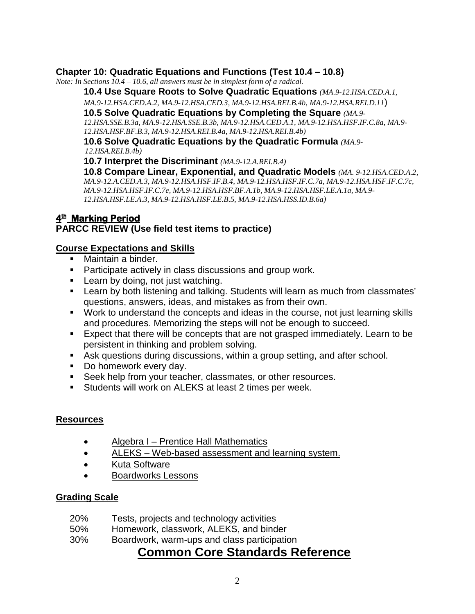# **Chapter 10: Quadratic Equations and Functions (Test 10.4 – 10.8)**

*Note: In Sections 10.4 – 10.6, all answers must be in simplest form of a radical.*

**10.4 Use Square Roots to Solve Quadratic Equations** *(MA.9-12.HSA.CED.A.1,* 

*MA.9-12.HSA.CED.A.2, MA.9-12.HSA.CED.3, MA.9-12.HSA.REI.B.4b, MA.9-12.HSA.REI.D.11*)

**10.5 Solve Quadratic Equations by Completing the Square** *(MA.9- 12.HSA.SSE.B.3a, MA.9-12.HSA.SSE.B.3b, MA.9-12.HSA.CED.A.1, MA.9-12.HSA.HSF.IF.C.8a, MA.9-*

*12.HSA.HSF.BF.B.3, MA.9-12.HSA.REI.B.4a, MA.9-12.HSA.REI.B.4b)*

**10.6 Solve Quadratic Equations by the Quadratic Formula** *(MA.9- 12.HSA.REI.B.4b)*

**10.7 Interpret the Discriminant** *(MA.9-12.A.REI.B.4)*

**10.8 Compare Linear, Exponential, and Quadratic Models** *(MA. 9-12.HSA.CED.A.2, MA.9-12.A.CED.A.3, MA.9-12.HSA.HSF.IF.B.4, MA.9-12.HSA.HSF.IF.C.7a, MA.9-12.HSA.HSF.IF.C.7c, MA.9-12.HSA.HSF.IF.C.7e, MA.9-12.HSA.HSF.BF.A.1b, MA.9-12.HSA.HSF.LE.A.1a, MA.9- 12.HSA.HSF.LE.A.3, MA.9-12.HSA.HSF.LE.B.5, MA.9-12.HSA.HSS.ID.B.6a)*

# **4th Marking Period**

# **PARCC REVIEW (Use field test items to practice)**

# **Course Expectations and Skills**

- Maintain a binder.
- **Participate actively in class discussions and group work.**
- **Learn by doing, not just watching.**
- **EXECT** Learn by both listening and talking. Students will learn as much from classmates' questions, answers, ideas, and mistakes as from their own.
- Work to understand the concepts and ideas in the course, not just learning skills and procedures. Memorizing the steps will not be enough to succeed.
- Expect that there will be concepts that are not grasped immediately. Learn to be persistent in thinking and problem solving.
- Ask questions during discussions, within a group setting, and after school.
- Do homework every day.
- **Seek help from your teacher, classmates, or other resources.**
- **Students will work on ALEKS at least 2 times per week.**

# **Resources**

- Algebra I Prentice Hall Mathematics
- ALEKS Web-based assessment and learning system.
- Kuta Software
- Boardworks Lessons

# **Grading Scale**

- 20% Tests, projects and technology activities
- 50% Homework, classwork, ALEKS, and binder
- 30% Boardwork, warm-ups and class participation

# **Common Core Standards Reference**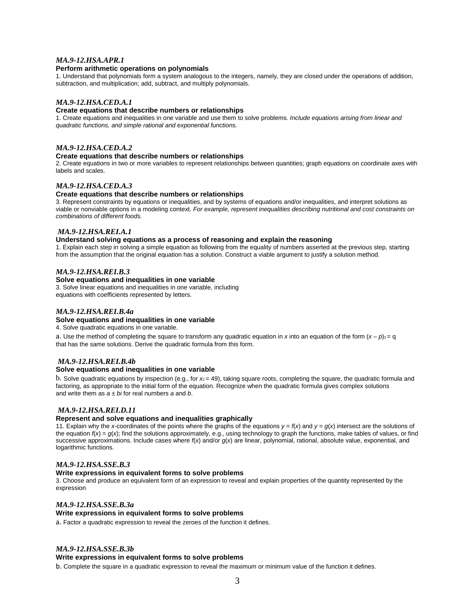#### *MA.9-12.HSA.APR.1*

#### **Perform arithmetic operations on polynomials**

1. Understand that polynomials form a system analogous to the integers, namely, they are closed under the operations of addition, subtraction, and multiplication; add, subtract, and multiply polynomials.

#### *MA.9-12.HSA.CED.A.1*

#### **Create equations that describe numbers or relationships**

1. Create equations and inequalities in one variable and use them to solve problems. *Include equations arising from linear and quadratic functions, and simple rational and exponential functions.*

#### *MA.9-12.HSA.CED.A.2*

#### **Create equations that describe numbers or relationships**

2. Create equations in two or more variables to represent relationships between quantities; graph equations on coordinate axes with labels and scales.

#### *MA.9-12.HSA.CED.A.3*

#### **Create equations that describe numbers or relationships**

3. Represent constraints by equations or inequalities, and by systems of equations and/or inequalities, and interpret solutions as viable or nonviable options in a modeling context. *For example, represent inequalities describing nutritional and cost constraints on combinations of different foods.*

#### *MA.9-12.HSA.REI.A.1*

#### **Understand solving equations as a process of reasoning and explain the reasoning**

1. Explain each step in solving a simple equation as following from the equality of numbers asserted at the previous step, starting from the assumption that the original equation has a solution. Construct a viable argument to justify a solution method.

# *MA.9-12.HSA.REI.B.3*<br>Solve equations and inequalities in one variable

3. Solve linear equations and inequalities in one variable, including equations with coefficients represented by letters.

#### *MA.9-12.HSA.REI.B.4a*

#### **Solve equations and inequalities in one variable**

4. Solve quadratic equations in one variable.

a. Use the method of completing the square to transform any quadratic equation in *x* into an equation of the form  $(x - p)_{2} = q$ that has the same solutions. Derive the quadratic formula from this form.

#### *MA.9-12.HSA.REI.B.4b*

#### **Solve equations and inequalities in one variable**

b*.* Solve quadratic equations by inspection (e.g., for *x*2 = 49), taking square roots, completing the square, the quadratic formula and factoring, as appropriate to the initial form of the equation. Recognize when the quadratic formula gives complex solutions and write them as  $a \pm bi$  for real numbers a and b.

#### *MA.9-12.HSA.REI.D.11*

#### **Represent and solve equations and inequalities graphically**

11. Explain why the *x*-coordinates of the points where the graphs of the equations  $y = f(x)$  and  $y = g(x)$  intersect are the solutions of the equation  $f(x) = g(x)$ ; find the solutions approximately, e.g., using technology to graph the functions, make tables of values, or find successive approximations. Include cases where  $f(x)$  and/or  $g(x)$  are linear, polynomial, rational, absolute value, exponential, and logarithmic functions.

#### *MA.9-12.HSA.SSE.B.3*

#### **Write expressions in equivalent forms to solve problems**

3. Choose and produce an equivalent form of an expression to reveal and explain properties of the quantity represented by the expression

#### *MA.9-12.HSA.SSE.B.3a*

#### **Write expressions in equivalent forms to solve problems**

a. Factor a quadratic expression to reveal the zeroes of the function it defines.

#### *MA.9-12.HSA.SSE.B.3b*

#### **Write expressions in equivalent forms to solve problems**

b. Complete the square in a quadratic expression to reveal the maximum or minimum value of the function it defines.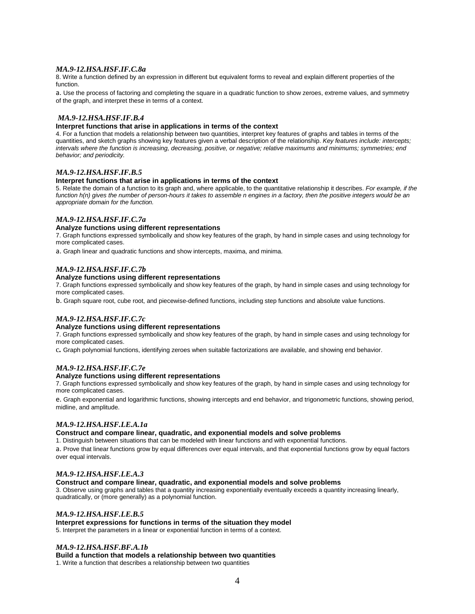#### *MA.9-12.HSA.HSF.IF.C.8a*

8. Write a function defined by an expression in different but equivalent forms to reveal and explain different properties of the function.

a. Use the process of factoring and completing the square in a quadratic function to show zeroes, extreme values, and symmetry of the graph, and interpret these in terms of a context.

#### *MA.9-12.HSA.HSF.IF.B.4*

#### **Interpret functions that arise in applications in terms of the context**

4. For a function that models a relationship between two quantities, interpret key features of graphs and tables in terms of the quantities, and sketch graphs showing key features given a verbal description of the relationship. *Key features include: intercepts; intervals where the function is increasing, decreasing, positive, or negative; relative maximums and minimums; symmetries; end behavior; and periodicity.*

#### *MA.9-12.HSA.HSF.IF.B.5*

#### **Interpret functions that arise in applications in terms of the context**

5. Relate the domain of a function to its graph and, where applicable, to the quantitative relationship it describes. *For example, if the function h(n) gives the number of person-hours it takes to assemble n engines in a factory, then the positive integers would be an appropriate domain for the function.*

#### *MA.9-12.HSA.HSF.IF.C.7a*

#### **Analyze functions using different representations**

7. Graph functions expressed symbolically and show key features of the graph, by hand in simple cases and using technology for more complicated cases.

a. Graph linear and quadratic functions and show intercepts, maxima, and minima.

#### *MA.9-12.HSA.HSF.IF.C.7b*

#### **Analyze functions using different representations**

7. Graph functions expressed symbolically and show key features of the graph, by hand in simple cases and using technology for more complicated cases.

b. Graph square root, cube root, and piecewise-defined functions, including step functions and absolute value functions.

#### *MA.9-12.HSA.HSF.IF.C.7c*

#### **Analyze functions using different representations**

7. Graph functions expressed symbolically and show key features of the graph, by hand in simple cases and using technology for more complicated cases.

c*.* Graph polynomial functions, identifying zeroes when suitable factorizations are available, and showing end behavior.

#### *MA.9-12.HSA.HSF.IF.C.7e*

#### **Analyze functions using different representations**

7. Graph functions expressed symbolically and show key features of the graph, by hand in simple cases and using technology for more complicated cases.

e. Graph exponential and logarithmic functions, showing intercepts and end behavior, and trigonometric functions, showing period, midline, and amplitude.

#### *MA.9-12.HSA.HSF.LE.A.1a*

**Construct and compare linear, quadratic, and exponential models and solve problems**

1. Distinguish between situations that can be modeled with linear functions and with exponential functions.

a. Prove that linear functions grow by equal differences over equal intervals, and that exponential functions grow by equal factors over equal intervals.

#### *MA.9-12.HSA.HSF.LE.A.3*

**Construct and compare linear, quadratic, and exponential models and solve problems**

3. Observe using graphs and tables that a quantity increasing exponentially eventually exceeds a quantity increasing linearly, quadratically, or (more generally) as a polynomial function.

#### *MA.9-12.HSA.HSF.LE.B.5*

**Interpret expressions for functions in terms of the situation they model** 5. Interpret the parameters in a linear or exponential function in terms of a context.

#### *MA.9-12.HSA.HSF.BF.A.1b*

**Build a function that models a relationship between two quantities** 1. Write a function that describes a relationship between two quantities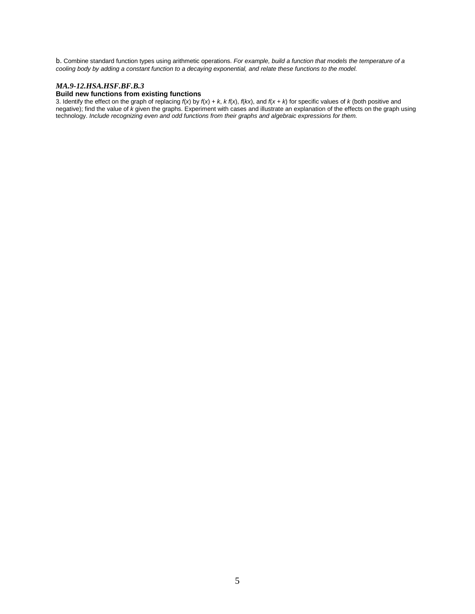b. Combine standard function types using arithmetic operations. *For example, build a function that models the temperature of a cooling body by adding a constant function to a decaying exponential, and relate these functions to the model.*

#### *MA.9-12.HSA.HSF.BF.B.3*

### **Build new functions from existing functions**

3. Identify the effect on the graph of replacing  $f(x)$  by  $f(x) + k$ ,  $k f(x)$ ,  $f(kx)$ , and  $f(x + k)$  for specific values of  $k$  (both positive and negative); find the value of *k* given the graphs. Experiment with cases and illustrate an explanation of the effects on the graph using technology. *Include recognizing even and odd functions from their graphs and algebraic expressions for them.*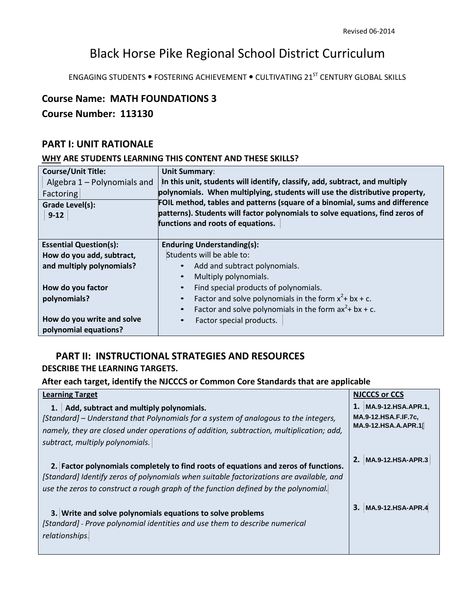# Black Horse Pike Regional School District Curriculum

ENGAGING STUDENTS . FOSTERING ACHIEVEMENT . CULTIVATING 21<sup>ST</sup> CENTURY GLOBAL SKILLS

# **Course Name: MATH FOUNDATIONS 3**

# **Course Number: 113130**

# **PART I: UNIT RATIONALE**

# **WHY ARE STUDENTS LEARNING THIS CONTENT AND THESE SKILLS?**

| <b>Course/Unit Title:</b>                           | <b>Unit Summary:</b>                                                          |  |
|-----------------------------------------------------|-------------------------------------------------------------------------------|--|
| Algebra $1 -$ Polynomials and                       | In this unit, students will identify, classify, add, subtract, and multiply   |  |
| Factoring                                           | polynomials. When multiplying, students will use the distributive property,   |  |
| Grade Level(s):                                     | FOIL method, tables and patterns (square of a binomial, sums and difference   |  |
| $9-12$                                              | patterns). Students will factor polynomials to solve equations, find zeros of |  |
|                                                     | functions and roots of equations.                                             |  |
|                                                     |                                                                               |  |
| <b>Essential Question(s):</b>                       | <b>Enduring Understanding(s):</b>                                             |  |
| How do you add, subtract,                           | Students will be able to:                                                     |  |
| and multiply polynomials?                           | Add and subtract polynomials.<br>$\bullet$                                    |  |
|                                                     | Multiply polynomials.<br>$\bullet$                                            |  |
| How do you factor                                   | Find special products of polynomials.<br>$\bullet$                            |  |
| polynomials?                                        | Factor and solve polynomials in the form $x^2$ + bx + c.<br>$\bullet$         |  |
|                                                     | Factor and solve polynomials in the form $ax^2 + bx + c$ .<br>$\bullet$       |  |
| How do you write and solve<br>polynomial equations? | Factor special products.<br>$\bullet$                                         |  |

# **PART II: INSTRUCTIONAL STRATEGIES AND RESOURCES**

# **DESCRIBE THE LEARNING TARGETS.**

# **After each target, identify the NJCCCS or Common Core Standards that are applicable**

| <b>Learning Target</b>                                                                                                                                                                                                                                                 | <b>NJCCCS or CCS</b>                                                     |
|------------------------------------------------------------------------------------------------------------------------------------------------------------------------------------------------------------------------------------------------------------------------|--------------------------------------------------------------------------|
| Add, subtract and multiply polynomials.<br>1.<br>[Standard] – Understand that Polynomials for a system of analogous to the integers,<br>namely, they are closed under operations of addition, subtraction, multiplication; add,<br>subtract, multiply polynomials.     | MA.9-12.HSA.APR.1,<br><b>MA.9-12.HSA.F.IF.7c.</b><br>MA.9-12.HSA.A.APR.1 |
| 2. Factor polynomials completely to find roots of equations and zeros of functions.<br>[Standard] Identify zeros of polynomials when suitable factorizations are available, and<br>use the zeros to construct a rough graph of the function defined by the polynomial. | 2. MA.9-12.HSA-APR.3                                                     |
| 3. Write and solve polynomials equations to solve problems<br>[Standard] - Prove polynomial identities and use them to describe numerical<br>relationships.                                                                                                            | 3. MA.9-12.HSA-APR.4                                                     |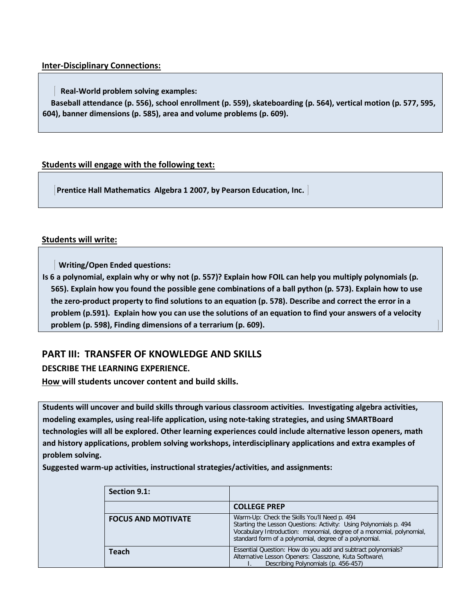# **Inter-Disciplinary Connections:**

 **Real-World problem solving examples:**

**Baseball attendance (p. 556), school enrollment (p. 559), skateboarding (p. 564), vertical motion (p. 577, 595, 604), banner dimensions (p. 585), area and volume problems (p. 609).** 

# **Students will engage with the following text:**

**Prentice Hall Mathematics Algebra 1 2007, by Pearson Education, Inc.** 

# **Students will write:**

 **Writing/Open Ended questions:**

**Is 6 a polynomial, explain why or why not (p. 557)? Explain how FOIL can help you multiply polynomials (p. 565). Explain how you found the possible gene combinations of a ball python (p. 573). Explain how to use the zero-product property to find solutions to an equation (p. 578). Describe and correct the error in a problem (p.591). Explain how you can use the solutions of an equation to find your answers of a velocity problem (p. 598), Finding dimensions of a terrarium (p. 609).** 

# **PART III: TRANSFER OF KNOWLEDGE AND SKILLS**

# **DESCRIBE THE LEARNING EXPERIENCE.**

**How will students uncover content and build skills.** 

**Students will uncover and build skills through various classroom activities. Investigating algebra activities, modeling examples, using real-life application, using note-taking strategies, and using SMARTBoard technologies will all be explored. Other learning experiences could include alternative lesson openers, math and history applications, problem solving workshops, interdisciplinary applications and extra examples of problem solving.**

**Suggested warm-up activities, instructional strategies/activities, and assignments:** 

| Section 9.1:              |                                                                                                                                                                                                                                                     |
|---------------------------|-----------------------------------------------------------------------------------------------------------------------------------------------------------------------------------------------------------------------------------------------------|
|                           | <b>COLLEGE PREP</b>                                                                                                                                                                                                                                 |
| <b>FOCUS AND MOTIVATE</b> | Warm-Up: Check the Skills You'll Need p. 494<br>Starting the Lesson Questions: Activity: Using Polynomials p. 494<br>Vocabulary Introduction: monomial, degree of a monomial, polynomial,<br>standard form of a polynomial, degree of a polynomial. |
| Teach                     | Essential Question: How do you add and subtract polynomials?<br>Alternative Lesson Openers: Classzone, Kuta Software\<br>Describing Polynomials (p. 456-457)                                                                                        |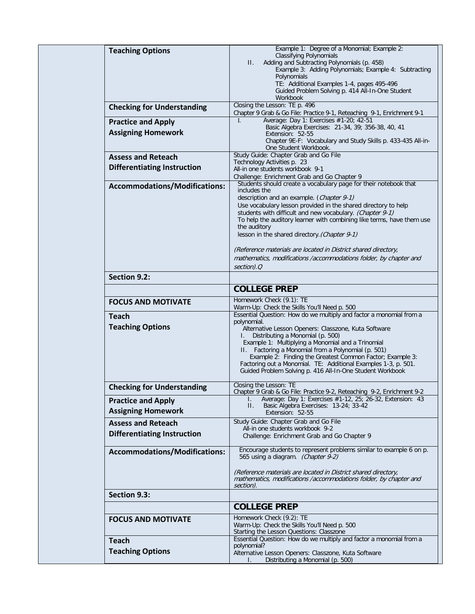| <b>Classifying Polynomials</b><br>Adding and Subtracting Polynomials (p. 458)<br>П.<br>Example 3: Adding Polynomials; Example 4: Subtracting<br>Polynomials<br>TE: Additional Examples 1-4, pages 495-496<br>Guided Problem Solving p. 414 All-In-One Student<br>Workbook<br>Closing the Lesson: TE p. 496<br><b>Checking for Understanding</b><br>Chapter 9 Grab & Go File: Practice 9-1, Reteaching 9-1, Enrichment 9-1<br>Average: Day 1: Exercises #1-20; 42-51<br>$\mathbf{L}$<br><b>Practice and Apply</b><br>Basic Algebra Exercises: 21-34, 39; 356-38, 40, 41<br><b>Assigning Homework</b><br>Extension: 52-55<br>Chapter 9E-F: Vocabulary and Study Skills p. 433-435 All-in-<br>One Student Workbook.<br>Study Guide: Chapter Grab and Go File<br><b>Assess and Reteach</b><br>Technology Activities p. 23<br><b>Differentiating Instruction</b><br>All-in one students workbook 9-1<br>Challenge: Enrichment Grab and Go Chapter 9<br>Students should create a vocabulary page for their notebook that<br><b>Accommodations/Modifications:</b><br>includes the<br>description and an example. (Chapter 9-1)<br>Use vocabulary lesson provided in the shared directory to help<br>students with difficult and new vocabulary. (Chapter 9-1)<br>To help the auditory learner with combining like terms, have them use<br>the auditory<br>lesson in the shared directory. (Chapter 9-1)<br>(Reference materials are located in District shared directory,<br>mathematics, modifications /accommodations folder, by chapter and<br>section).Q<br>Section 9.2:<br><b>COLLEGE PREP</b><br>Homework Check (9.1): TE<br><b>FOCUS AND MOTIVATE</b><br>Warm-Up: Check the Skills You'll Need p. 500<br>Essential Question: How do we multiply and factor a monomial from a<br><b>Teach</b><br>polynomial.<br><b>Teaching Options</b><br>Alternative Lesson Openers: Classzone, Kuta Software<br>Distributing a Monomial (p. 500)<br>Example 1: Multiplying a Monomial and a Trinomial<br>II. Factoring a Monomial from a Polynomial (p. 501)<br>Example 2: Finding the Greatest Common Factor; Example 3:<br>Factoring out a Monomial. TE: Additional Examples 1-3, p. 501.<br>Guided Problem Solving p. 416 All-In-One Student Workbook<br>Closing the Lesson: TE<br><b>Checking for Understanding</b><br>Chapter 9 Grab & Go File: Practice 9-2, Reteaching 9-2, Enrichment 9-2<br>Average: Day 1: Exercises #1-12, 25; 26-32, Extension: 43<br><b>Practice and Apply</b><br>L.<br>Basic Algebra Exercises: 13-24; 33-42<br>$\Pi$ .<br><b>Assigning Homework</b><br>Extension: 52-55<br>Study Guide: Chapter Grab and Go File<br><b>Assess and Reteach</b><br>All-in one students workbook 9-2<br><b>Differentiating Instruction</b><br>Challenge: Enrichment Grab and Go Chapter 9<br>Encourage students to represent problems similar to example 6 on p.<br><b>Accommodations/Modifications:</b><br>565 using a diagram. (Chapter 9-2)<br>(Reference materials are located in District shared directory,<br>mathematics, modifications /accommodations folder, by chapter and<br>section).<br>Section 9.3:<br><b>COLLEGE PREP</b><br>Homework Check (9.2): TE<br><b>FOCUS AND MOTIVATE</b><br>Warm-Up: Check the Skills You'll Need p. 500<br>Starting the Lesson Questions: Classzone<br>Essential Question: How do we multiply and factor a monomial from a<br><b>Teach</b><br>polynomial?<br><b>Teaching Options</b><br>Alternative Lesson Openers: Classzone, Kuta Software<br>Distributing a Monomial (p. 500) | <b>Teaching Options</b> | Example 1: Degree of a Monomial; Example 2: |
|---------------------------------------------------------------------------------------------------------------------------------------------------------------------------------------------------------------------------------------------------------------------------------------------------------------------------------------------------------------------------------------------------------------------------------------------------------------------------------------------------------------------------------------------------------------------------------------------------------------------------------------------------------------------------------------------------------------------------------------------------------------------------------------------------------------------------------------------------------------------------------------------------------------------------------------------------------------------------------------------------------------------------------------------------------------------------------------------------------------------------------------------------------------------------------------------------------------------------------------------------------------------------------------------------------------------------------------------------------------------------------------------------------------------------------------------------------------------------------------------------------------------------------------------------------------------------------------------------------------------------------------------------------------------------------------------------------------------------------------------------------------------------------------------------------------------------------------------------------------------------------------------------------------------------------------------------------------------------------------------------------------------------------------------------------------------------------------------------------------------------------------------------------------------------------------------------------------------------------------------------------------------------------------------------------------------------------------------------------------------------------------------------------------------------------------------------------------------------------------------------------------------------------------------------------------------------------------------------------------------------------------------------------------------------------------------------------------------------------------------------------------------------------------------------------------------------------------------------------------------------------------------------------------------------------------------------------------------------------------------------------------------------------------------------------------------------------------------------------------------------------------------------------------------------------------------------------------------------------------------------------------------------------------------------------------------------------------------------------------------------------------------------------------------------------------------------------------------------------------------------------------------------|-------------------------|---------------------------------------------|
|                                                                                                                                                                                                                                                                                                                                                                                                                                                                                                                                                                                                                                                                                                                                                                                                                                                                                                                                                                                                                                                                                                                                                                                                                                                                                                                                                                                                                                                                                                                                                                                                                                                                                                                                                                                                                                                                                                                                                                                                                                                                                                                                                                                                                                                                                                                                                                                                                                                                                                                                                                                                                                                                                                                                                                                                                                                                                                                                                                                                                                                                                                                                                                                                                                                                                                                                                                                                                                                                                                                           |                         |                                             |
|                                                                                                                                                                                                                                                                                                                                                                                                                                                                                                                                                                                                                                                                                                                                                                                                                                                                                                                                                                                                                                                                                                                                                                                                                                                                                                                                                                                                                                                                                                                                                                                                                                                                                                                                                                                                                                                                                                                                                                                                                                                                                                                                                                                                                                                                                                                                                                                                                                                                                                                                                                                                                                                                                                                                                                                                                                                                                                                                                                                                                                                                                                                                                                                                                                                                                                                                                                                                                                                                                                                           |                         |                                             |
|                                                                                                                                                                                                                                                                                                                                                                                                                                                                                                                                                                                                                                                                                                                                                                                                                                                                                                                                                                                                                                                                                                                                                                                                                                                                                                                                                                                                                                                                                                                                                                                                                                                                                                                                                                                                                                                                                                                                                                                                                                                                                                                                                                                                                                                                                                                                                                                                                                                                                                                                                                                                                                                                                                                                                                                                                                                                                                                                                                                                                                                                                                                                                                                                                                                                                                                                                                                                                                                                                                                           |                         |                                             |
|                                                                                                                                                                                                                                                                                                                                                                                                                                                                                                                                                                                                                                                                                                                                                                                                                                                                                                                                                                                                                                                                                                                                                                                                                                                                                                                                                                                                                                                                                                                                                                                                                                                                                                                                                                                                                                                                                                                                                                                                                                                                                                                                                                                                                                                                                                                                                                                                                                                                                                                                                                                                                                                                                                                                                                                                                                                                                                                                                                                                                                                                                                                                                                                                                                                                                                                                                                                                                                                                                                                           |                         |                                             |
|                                                                                                                                                                                                                                                                                                                                                                                                                                                                                                                                                                                                                                                                                                                                                                                                                                                                                                                                                                                                                                                                                                                                                                                                                                                                                                                                                                                                                                                                                                                                                                                                                                                                                                                                                                                                                                                                                                                                                                                                                                                                                                                                                                                                                                                                                                                                                                                                                                                                                                                                                                                                                                                                                                                                                                                                                                                                                                                                                                                                                                                                                                                                                                                                                                                                                                                                                                                                                                                                                                                           |                         |                                             |
|                                                                                                                                                                                                                                                                                                                                                                                                                                                                                                                                                                                                                                                                                                                                                                                                                                                                                                                                                                                                                                                                                                                                                                                                                                                                                                                                                                                                                                                                                                                                                                                                                                                                                                                                                                                                                                                                                                                                                                                                                                                                                                                                                                                                                                                                                                                                                                                                                                                                                                                                                                                                                                                                                                                                                                                                                                                                                                                                                                                                                                                                                                                                                                                                                                                                                                                                                                                                                                                                                                                           |                         |                                             |
|                                                                                                                                                                                                                                                                                                                                                                                                                                                                                                                                                                                                                                                                                                                                                                                                                                                                                                                                                                                                                                                                                                                                                                                                                                                                                                                                                                                                                                                                                                                                                                                                                                                                                                                                                                                                                                                                                                                                                                                                                                                                                                                                                                                                                                                                                                                                                                                                                                                                                                                                                                                                                                                                                                                                                                                                                                                                                                                                                                                                                                                                                                                                                                                                                                                                                                                                                                                                                                                                                                                           |                         |                                             |
|                                                                                                                                                                                                                                                                                                                                                                                                                                                                                                                                                                                                                                                                                                                                                                                                                                                                                                                                                                                                                                                                                                                                                                                                                                                                                                                                                                                                                                                                                                                                                                                                                                                                                                                                                                                                                                                                                                                                                                                                                                                                                                                                                                                                                                                                                                                                                                                                                                                                                                                                                                                                                                                                                                                                                                                                                                                                                                                                                                                                                                                                                                                                                                                                                                                                                                                                                                                                                                                                                                                           |                         |                                             |
|                                                                                                                                                                                                                                                                                                                                                                                                                                                                                                                                                                                                                                                                                                                                                                                                                                                                                                                                                                                                                                                                                                                                                                                                                                                                                                                                                                                                                                                                                                                                                                                                                                                                                                                                                                                                                                                                                                                                                                                                                                                                                                                                                                                                                                                                                                                                                                                                                                                                                                                                                                                                                                                                                                                                                                                                                                                                                                                                                                                                                                                                                                                                                                                                                                                                                                                                                                                                                                                                                                                           |                         |                                             |
|                                                                                                                                                                                                                                                                                                                                                                                                                                                                                                                                                                                                                                                                                                                                                                                                                                                                                                                                                                                                                                                                                                                                                                                                                                                                                                                                                                                                                                                                                                                                                                                                                                                                                                                                                                                                                                                                                                                                                                                                                                                                                                                                                                                                                                                                                                                                                                                                                                                                                                                                                                                                                                                                                                                                                                                                                                                                                                                                                                                                                                                                                                                                                                                                                                                                                                                                                                                                                                                                                                                           |                         |                                             |
|                                                                                                                                                                                                                                                                                                                                                                                                                                                                                                                                                                                                                                                                                                                                                                                                                                                                                                                                                                                                                                                                                                                                                                                                                                                                                                                                                                                                                                                                                                                                                                                                                                                                                                                                                                                                                                                                                                                                                                                                                                                                                                                                                                                                                                                                                                                                                                                                                                                                                                                                                                                                                                                                                                                                                                                                                                                                                                                                                                                                                                                                                                                                                                                                                                                                                                                                                                                                                                                                                                                           |                         |                                             |
|                                                                                                                                                                                                                                                                                                                                                                                                                                                                                                                                                                                                                                                                                                                                                                                                                                                                                                                                                                                                                                                                                                                                                                                                                                                                                                                                                                                                                                                                                                                                                                                                                                                                                                                                                                                                                                                                                                                                                                                                                                                                                                                                                                                                                                                                                                                                                                                                                                                                                                                                                                                                                                                                                                                                                                                                                                                                                                                                                                                                                                                                                                                                                                                                                                                                                                                                                                                                                                                                                                                           |                         |                                             |
|                                                                                                                                                                                                                                                                                                                                                                                                                                                                                                                                                                                                                                                                                                                                                                                                                                                                                                                                                                                                                                                                                                                                                                                                                                                                                                                                                                                                                                                                                                                                                                                                                                                                                                                                                                                                                                                                                                                                                                                                                                                                                                                                                                                                                                                                                                                                                                                                                                                                                                                                                                                                                                                                                                                                                                                                                                                                                                                                                                                                                                                                                                                                                                                                                                                                                                                                                                                                                                                                                                                           |                         |                                             |
|                                                                                                                                                                                                                                                                                                                                                                                                                                                                                                                                                                                                                                                                                                                                                                                                                                                                                                                                                                                                                                                                                                                                                                                                                                                                                                                                                                                                                                                                                                                                                                                                                                                                                                                                                                                                                                                                                                                                                                                                                                                                                                                                                                                                                                                                                                                                                                                                                                                                                                                                                                                                                                                                                                                                                                                                                                                                                                                                                                                                                                                                                                                                                                                                                                                                                                                                                                                                                                                                                                                           |                         |                                             |
|                                                                                                                                                                                                                                                                                                                                                                                                                                                                                                                                                                                                                                                                                                                                                                                                                                                                                                                                                                                                                                                                                                                                                                                                                                                                                                                                                                                                                                                                                                                                                                                                                                                                                                                                                                                                                                                                                                                                                                                                                                                                                                                                                                                                                                                                                                                                                                                                                                                                                                                                                                                                                                                                                                                                                                                                                                                                                                                                                                                                                                                                                                                                                                                                                                                                                                                                                                                                                                                                                                                           |                         |                                             |
|                                                                                                                                                                                                                                                                                                                                                                                                                                                                                                                                                                                                                                                                                                                                                                                                                                                                                                                                                                                                                                                                                                                                                                                                                                                                                                                                                                                                                                                                                                                                                                                                                                                                                                                                                                                                                                                                                                                                                                                                                                                                                                                                                                                                                                                                                                                                                                                                                                                                                                                                                                                                                                                                                                                                                                                                                                                                                                                                                                                                                                                                                                                                                                                                                                                                                                                                                                                                                                                                                                                           |                         |                                             |
|                                                                                                                                                                                                                                                                                                                                                                                                                                                                                                                                                                                                                                                                                                                                                                                                                                                                                                                                                                                                                                                                                                                                                                                                                                                                                                                                                                                                                                                                                                                                                                                                                                                                                                                                                                                                                                                                                                                                                                                                                                                                                                                                                                                                                                                                                                                                                                                                                                                                                                                                                                                                                                                                                                                                                                                                                                                                                                                                                                                                                                                                                                                                                                                                                                                                                                                                                                                                                                                                                                                           |                         |                                             |
|                                                                                                                                                                                                                                                                                                                                                                                                                                                                                                                                                                                                                                                                                                                                                                                                                                                                                                                                                                                                                                                                                                                                                                                                                                                                                                                                                                                                                                                                                                                                                                                                                                                                                                                                                                                                                                                                                                                                                                                                                                                                                                                                                                                                                                                                                                                                                                                                                                                                                                                                                                                                                                                                                                                                                                                                                                                                                                                                                                                                                                                                                                                                                                                                                                                                                                                                                                                                                                                                                                                           |                         |                                             |
|                                                                                                                                                                                                                                                                                                                                                                                                                                                                                                                                                                                                                                                                                                                                                                                                                                                                                                                                                                                                                                                                                                                                                                                                                                                                                                                                                                                                                                                                                                                                                                                                                                                                                                                                                                                                                                                                                                                                                                                                                                                                                                                                                                                                                                                                                                                                                                                                                                                                                                                                                                                                                                                                                                                                                                                                                                                                                                                                                                                                                                                                                                                                                                                                                                                                                                                                                                                                                                                                                                                           |                         |                                             |
|                                                                                                                                                                                                                                                                                                                                                                                                                                                                                                                                                                                                                                                                                                                                                                                                                                                                                                                                                                                                                                                                                                                                                                                                                                                                                                                                                                                                                                                                                                                                                                                                                                                                                                                                                                                                                                                                                                                                                                                                                                                                                                                                                                                                                                                                                                                                                                                                                                                                                                                                                                                                                                                                                                                                                                                                                                                                                                                                                                                                                                                                                                                                                                                                                                                                                                                                                                                                                                                                                                                           |                         |                                             |
|                                                                                                                                                                                                                                                                                                                                                                                                                                                                                                                                                                                                                                                                                                                                                                                                                                                                                                                                                                                                                                                                                                                                                                                                                                                                                                                                                                                                                                                                                                                                                                                                                                                                                                                                                                                                                                                                                                                                                                                                                                                                                                                                                                                                                                                                                                                                                                                                                                                                                                                                                                                                                                                                                                                                                                                                                                                                                                                                                                                                                                                                                                                                                                                                                                                                                                                                                                                                                                                                                                                           |                         |                                             |
|                                                                                                                                                                                                                                                                                                                                                                                                                                                                                                                                                                                                                                                                                                                                                                                                                                                                                                                                                                                                                                                                                                                                                                                                                                                                                                                                                                                                                                                                                                                                                                                                                                                                                                                                                                                                                                                                                                                                                                                                                                                                                                                                                                                                                                                                                                                                                                                                                                                                                                                                                                                                                                                                                                                                                                                                                                                                                                                                                                                                                                                                                                                                                                                                                                                                                                                                                                                                                                                                                                                           |                         |                                             |
|                                                                                                                                                                                                                                                                                                                                                                                                                                                                                                                                                                                                                                                                                                                                                                                                                                                                                                                                                                                                                                                                                                                                                                                                                                                                                                                                                                                                                                                                                                                                                                                                                                                                                                                                                                                                                                                                                                                                                                                                                                                                                                                                                                                                                                                                                                                                                                                                                                                                                                                                                                                                                                                                                                                                                                                                                                                                                                                                                                                                                                                                                                                                                                                                                                                                                                                                                                                                                                                                                                                           |                         |                                             |
|                                                                                                                                                                                                                                                                                                                                                                                                                                                                                                                                                                                                                                                                                                                                                                                                                                                                                                                                                                                                                                                                                                                                                                                                                                                                                                                                                                                                                                                                                                                                                                                                                                                                                                                                                                                                                                                                                                                                                                                                                                                                                                                                                                                                                                                                                                                                                                                                                                                                                                                                                                                                                                                                                                                                                                                                                                                                                                                                                                                                                                                                                                                                                                                                                                                                                                                                                                                                                                                                                                                           |                         |                                             |
|                                                                                                                                                                                                                                                                                                                                                                                                                                                                                                                                                                                                                                                                                                                                                                                                                                                                                                                                                                                                                                                                                                                                                                                                                                                                                                                                                                                                                                                                                                                                                                                                                                                                                                                                                                                                                                                                                                                                                                                                                                                                                                                                                                                                                                                                                                                                                                                                                                                                                                                                                                                                                                                                                                                                                                                                                                                                                                                                                                                                                                                                                                                                                                                                                                                                                                                                                                                                                                                                                                                           |                         |                                             |
|                                                                                                                                                                                                                                                                                                                                                                                                                                                                                                                                                                                                                                                                                                                                                                                                                                                                                                                                                                                                                                                                                                                                                                                                                                                                                                                                                                                                                                                                                                                                                                                                                                                                                                                                                                                                                                                                                                                                                                                                                                                                                                                                                                                                                                                                                                                                                                                                                                                                                                                                                                                                                                                                                                                                                                                                                                                                                                                                                                                                                                                                                                                                                                                                                                                                                                                                                                                                                                                                                                                           |                         |                                             |
|                                                                                                                                                                                                                                                                                                                                                                                                                                                                                                                                                                                                                                                                                                                                                                                                                                                                                                                                                                                                                                                                                                                                                                                                                                                                                                                                                                                                                                                                                                                                                                                                                                                                                                                                                                                                                                                                                                                                                                                                                                                                                                                                                                                                                                                                                                                                                                                                                                                                                                                                                                                                                                                                                                                                                                                                                                                                                                                                                                                                                                                                                                                                                                                                                                                                                                                                                                                                                                                                                                                           |                         |                                             |
|                                                                                                                                                                                                                                                                                                                                                                                                                                                                                                                                                                                                                                                                                                                                                                                                                                                                                                                                                                                                                                                                                                                                                                                                                                                                                                                                                                                                                                                                                                                                                                                                                                                                                                                                                                                                                                                                                                                                                                                                                                                                                                                                                                                                                                                                                                                                                                                                                                                                                                                                                                                                                                                                                                                                                                                                                                                                                                                                                                                                                                                                                                                                                                                                                                                                                                                                                                                                                                                                                                                           |                         |                                             |
|                                                                                                                                                                                                                                                                                                                                                                                                                                                                                                                                                                                                                                                                                                                                                                                                                                                                                                                                                                                                                                                                                                                                                                                                                                                                                                                                                                                                                                                                                                                                                                                                                                                                                                                                                                                                                                                                                                                                                                                                                                                                                                                                                                                                                                                                                                                                                                                                                                                                                                                                                                                                                                                                                                                                                                                                                                                                                                                                                                                                                                                                                                                                                                                                                                                                                                                                                                                                                                                                                                                           |                         |                                             |
|                                                                                                                                                                                                                                                                                                                                                                                                                                                                                                                                                                                                                                                                                                                                                                                                                                                                                                                                                                                                                                                                                                                                                                                                                                                                                                                                                                                                                                                                                                                                                                                                                                                                                                                                                                                                                                                                                                                                                                                                                                                                                                                                                                                                                                                                                                                                                                                                                                                                                                                                                                                                                                                                                                                                                                                                                                                                                                                                                                                                                                                                                                                                                                                                                                                                                                                                                                                                                                                                                                                           |                         |                                             |
|                                                                                                                                                                                                                                                                                                                                                                                                                                                                                                                                                                                                                                                                                                                                                                                                                                                                                                                                                                                                                                                                                                                                                                                                                                                                                                                                                                                                                                                                                                                                                                                                                                                                                                                                                                                                                                                                                                                                                                                                                                                                                                                                                                                                                                                                                                                                                                                                                                                                                                                                                                                                                                                                                                                                                                                                                                                                                                                                                                                                                                                                                                                                                                                                                                                                                                                                                                                                                                                                                                                           |                         |                                             |
|                                                                                                                                                                                                                                                                                                                                                                                                                                                                                                                                                                                                                                                                                                                                                                                                                                                                                                                                                                                                                                                                                                                                                                                                                                                                                                                                                                                                                                                                                                                                                                                                                                                                                                                                                                                                                                                                                                                                                                                                                                                                                                                                                                                                                                                                                                                                                                                                                                                                                                                                                                                                                                                                                                                                                                                                                                                                                                                                                                                                                                                                                                                                                                                                                                                                                                                                                                                                                                                                                                                           |                         |                                             |
|                                                                                                                                                                                                                                                                                                                                                                                                                                                                                                                                                                                                                                                                                                                                                                                                                                                                                                                                                                                                                                                                                                                                                                                                                                                                                                                                                                                                                                                                                                                                                                                                                                                                                                                                                                                                                                                                                                                                                                                                                                                                                                                                                                                                                                                                                                                                                                                                                                                                                                                                                                                                                                                                                                                                                                                                                                                                                                                                                                                                                                                                                                                                                                                                                                                                                                                                                                                                                                                                                                                           |                         |                                             |
|                                                                                                                                                                                                                                                                                                                                                                                                                                                                                                                                                                                                                                                                                                                                                                                                                                                                                                                                                                                                                                                                                                                                                                                                                                                                                                                                                                                                                                                                                                                                                                                                                                                                                                                                                                                                                                                                                                                                                                                                                                                                                                                                                                                                                                                                                                                                                                                                                                                                                                                                                                                                                                                                                                                                                                                                                                                                                                                                                                                                                                                                                                                                                                                                                                                                                                                                                                                                                                                                                                                           |                         |                                             |
|                                                                                                                                                                                                                                                                                                                                                                                                                                                                                                                                                                                                                                                                                                                                                                                                                                                                                                                                                                                                                                                                                                                                                                                                                                                                                                                                                                                                                                                                                                                                                                                                                                                                                                                                                                                                                                                                                                                                                                                                                                                                                                                                                                                                                                                                                                                                                                                                                                                                                                                                                                                                                                                                                                                                                                                                                                                                                                                                                                                                                                                                                                                                                                                                                                                                                                                                                                                                                                                                                                                           |                         |                                             |
|                                                                                                                                                                                                                                                                                                                                                                                                                                                                                                                                                                                                                                                                                                                                                                                                                                                                                                                                                                                                                                                                                                                                                                                                                                                                                                                                                                                                                                                                                                                                                                                                                                                                                                                                                                                                                                                                                                                                                                                                                                                                                                                                                                                                                                                                                                                                                                                                                                                                                                                                                                                                                                                                                                                                                                                                                                                                                                                                                                                                                                                                                                                                                                                                                                                                                                                                                                                                                                                                                                                           |                         |                                             |
|                                                                                                                                                                                                                                                                                                                                                                                                                                                                                                                                                                                                                                                                                                                                                                                                                                                                                                                                                                                                                                                                                                                                                                                                                                                                                                                                                                                                                                                                                                                                                                                                                                                                                                                                                                                                                                                                                                                                                                                                                                                                                                                                                                                                                                                                                                                                                                                                                                                                                                                                                                                                                                                                                                                                                                                                                                                                                                                                                                                                                                                                                                                                                                                                                                                                                                                                                                                                                                                                                                                           |                         |                                             |
|                                                                                                                                                                                                                                                                                                                                                                                                                                                                                                                                                                                                                                                                                                                                                                                                                                                                                                                                                                                                                                                                                                                                                                                                                                                                                                                                                                                                                                                                                                                                                                                                                                                                                                                                                                                                                                                                                                                                                                                                                                                                                                                                                                                                                                                                                                                                                                                                                                                                                                                                                                                                                                                                                                                                                                                                                                                                                                                                                                                                                                                                                                                                                                                                                                                                                                                                                                                                                                                                                                                           |                         |                                             |
|                                                                                                                                                                                                                                                                                                                                                                                                                                                                                                                                                                                                                                                                                                                                                                                                                                                                                                                                                                                                                                                                                                                                                                                                                                                                                                                                                                                                                                                                                                                                                                                                                                                                                                                                                                                                                                                                                                                                                                                                                                                                                                                                                                                                                                                                                                                                                                                                                                                                                                                                                                                                                                                                                                                                                                                                                                                                                                                                                                                                                                                                                                                                                                                                                                                                                                                                                                                                                                                                                                                           |                         |                                             |
|                                                                                                                                                                                                                                                                                                                                                                                                                                                                                                                                                                                                                                                                                                                                                                                                                                                                                                                                                                                                                                                                                                                                                                                                                                                                                                                                                                                                                                                                                                                                                                                                                                                                                                                                                                                                                                                                                                                                                                                                                                                                                                                                                                                                                                                                                                                                                                                                                                                                                                                                                                                                                                                                                                                                                                                                                                                                                                                                                                                                                                                                                                                                                                                                                                                                                                                                                                                                                                                                                                                           |                         |                                             |
|                                                                                                                                                                                                                                                                                                                                                                                                                                                                                                                                                                                                                                                                                                                                                                                                                                                                                                                                                                                                                                                                                                                                                                                                                                                                                                                                                                                                                                                                                                                                                                                                                                                                                                                                                                                                                                                                                                                                                                                                                                                                                                                                                                                                                                                                                                                                                                                                                                                                                                                                                                                                                                                                                                                                                                                                                                                                                                                                                                                                                                                                                                                                                                                                                                                                                                                                                                                                                                                                                                                           |                         |                                             |
|                                                                                                                                                                                                                                                                                                                                                                                                                                                                                                                                                                                                                                                                                                                                                                                                                                                                                                                                                                                                                                                                                                                                                                                                                                                                                                                                                                                                                                                                                                                                                                                                                                                                                                                                                                                                                                                                                                                                                                                                                                                                                                                                                                                                                                                                                                                                                                                                                                                                                                                                                                                                                                                                                                                                                                                                                                                                                                                                                                                                                                                                                                                                                                                                                                                                                                                                                                                                                                                                                                                           |                         |                                             |
|                                                                                                                                                                                                                                                                                                                                                                                                                                                                                                                                                                                                                                                                                                                                                                                                                                                                                                                                                                                                                                                                                                                                                                                                                                                                                                                                                                                                                                                                                                                                                                                                                                                                                                                                                                                                                                                                                                                                                                                                                                                                                                                                                                                                                                                                                                                                                                                                                                                                                                                                                                                                                                                                                                                                                                                                                                                                                                                                                                                                                                                                                                                                                                                                                                                                                                                                                                                                                                                                                                                           |                         |                                             |
|                                                                                                                                                                                                                                                                                                                                                                                                                                                                                                                                                                                                                                                                                                                                                                                                                                                                                                                                                                                                                                                                                                                                                                                                                                                                                                                                                                                                                                                                                                                                                                                                                                                                                                                                                                                                                                                                                                                                                                                                                                                                                                                                                                                                                                                                                                                                                                                                                                                                                                                                                                                                                                                                                                                                                                                                                                                                                                                                                                                                                                                                                                                                                                                                                                                                                                                                                                                                                                                                                                                           |                         |                                             |
|                                                                                                                                                                                                                                                                                                                                                                                                                                                                                                                                                                                                                                                                                                                                                                                                                                                                                                                                                                                                                                                                                                                                                                                                                                                                                                                                                                                                                                                                                                                                                                                                                                                                                                                                                                                                                                                                                                                                                                                                                                                                                                                                                                                                                                                                                                                                                                                                                                                                                                                                                                                                                                                                                                                                                                                                                                                                                                                                                                                                                                                                                                                                                                                                                                                                                                                                                                                                                                                                                                                           |                         |                                             |
|                                                                                                                                                                                                                                                                                                                                                                                                                                                                                                                                                                                                                                                                                                                                                                                                                                                                                                                                                                                                                                                                                                                                                                                                                                                                                                                                                                                                                                                                                                                                                                                                                                                                                                                                                                                                                                                                                                                                                                                                                                                                                                                                                                                                                                                                                                                                                                                                                                                                                                                                                                                                                                                                                                                                                                                                                                                                                                                                                                                                                                                                                                                                                                                                                                                                                                                                                                                                                                                                                                                           |                         |                                             |
|                                                                                                                                                                                                                                                                                                                                                                                                                                                                                                                                                                                                                                                                                                                                                                                                                                                                                                                                                                                                                                                                                                                                                                                                                                                                                                                                                                                                                                                                                                                                                                                                                                                                                                                                                                                                                                                                                                                                                                                                                                                                                                                                                                                                                                                                                                                                                                                                                                                                                                                                                                                                                                                                                                                                                                                                                                                                                                                                                                                                                                                                                                                                                                                                                                                                                                                                                                                                                                                                                                                           |                         |                                             |
|                                                                                                                                                                                                                                                                                                                                                                                                                                                                                                                                                                                                                                                                                                                                                                                                                                                                                                                                                                                                                                                                                                                                                                                                                                                                                                                                                                                                                                                                                                                                                                                                                                                                                                                                                                                                                                                                                                                                                                                                                                                                                                                                                                                                                                                                                                                                                                                                                                                                                                                                                                                                                                                                                                                                                                                                                                                                                                                                                                                                                                                                                                                                                                                                                                                                                                                                                                                                                                                                                                                           |                         |                                             |
|                                                                                                                                                                                                                                                                                                                                                                                                                                                                                                                                                                                                                                                                                                                                                                                                                                                                                                                                                                                                                                                                                                                                                                                                                                                                                                                                                                                                                                                                                                                                                                                                                                                                                                                                                                                                                                                                                                                                                                                                                                                                                                                                                                                                                                                                                                                                                                                                                                                                                                                                                                                                                                                                                                                                                                                                                                                                                                                                                                                                                                                                                                                                                                                                                                                                                                                                                                                                                                                                                                                           |                         |                                             |
|                                                                                                                                                                                                                                                                                                                                                                                                                                                                                                                                                                                                                                                                                                                                                                                                                                                                                                                                                                                                                                                                                                                                                                                                                                                                                                                                                                                                                                                                                                                                                                                                                                                                                                                                                                                                                                                                                                                                                                                                                                                                                                                                                                                                                                                                                                                                                                                                                                                                                                                                                                                                                                                                                                                                                                                                                                                                                                                                                                                                                                                                                                                                                                                                                                                                                                                                                                                                                                                                                                                           |                         |                                             |
|                                                                                                                                                                                                                                                                                                                                                                                                                                                                                                                                                                                                                                                                                                                                                                                                                                                                                                                                                                                                                                                                                                                                                                                                                                                                                                                                                                                                                                                                                                                                                                                                                                                                                                                                                                                                                                                                                                                                                                                                                                                                                                                                                                                                                                                                                                                                                                                                                                                                                                                                                                                                                                                                                                                                                                                                                                                                                                                                                                                                                                                                                                                                                                                                                                                                                                                                                                                                                                                                                                                           |                         |                                             |
|                                                                                                                                                                                                                                                                                                                                                                                                                                                                                                                                                                                                                                                                                                                                                                                                                                                                                                                                                                                                                                                                                                                                                                                                                                                                                                                                                                                                                                                                                                                                                                                                                                                                                                                                                                                                                                                                                                                                                                                                                                                                                                                                                                                                                                                                                                                                                                                                                                                                                                                                                                                                                                                                                                                                                                                                                                                                                                                                                                                                                                                                                                                                                                                                                                                                                                                                                                                                                                                                                                                           |                         |                                             |
|                                                                                                                                                                                                                                                                                                                                                                                                                                                                                                                                                                                                                                                                                                                                                                                                                                                                                                                                                                                                                                                                                                                                                                                                                                                                                                                                                                                                                                                                                                                                                                                                                                                                                                                                                                                                                                                                                                                                                                                                                                                                                                                                                                                                                                                                                                                                                                                                                                                                                                                                                                                                                                                                                                                                                                                                                                                                                                                                                                                                                                                                                                                                                                                                                                                                                                                                                                                                                                                                                                                           |                         |                                             |
|                                                                                                                                                                                                                                                                                                                                                                                                                                                                                                                                                                                                                                                                                                                                                                                                                                                                                                                                                                                                                                                                                                                                                                                                                                                                                                                                                                                                                                                                                                                                                                                                                                                                                                                                                                                                                                                                                                                                                                                                                                                                                                                                                                                                                                                                                                                                                                                                                                                                                                                                                                                                                                                                                                                                                                                                                                                                                                                                                                                                                                                                                                                                                                                                                                                                                                                                                                                                                                                                                                                           |                         |                                             |
|                                                                                                                                                                                                                                                                                                                                                                                                                                                                                                                                                                                                                                                                                                                                                                                                                                                                                                                                                                                                                                                                                                                                                                                                                                                                                                                                                                                                                                                                                                                                                                                                                                                                                                                                                                                                                                                                                                                                                                                                                                                                                                                                                                                                                                                                                                                                                                                                                                                                                                                                                                                                                                                                                                                                                                                                                                                                                                                                                                                                                                                                                                                                                                                                                                                                                                                                                                                                                                                                                                                           |                         |                                             |
|                                                                                                                                                                                                                                                                                                                                                                                                                                                                                                                                                                                                                                                                                                                                                                                                                                                                                                                                                                                                                                                                                                                                                                                                                                                                                                                                                                                                                                                                                                                                                                                                                                                                                                                                                                                                                                                                                                                                                                                                                                                                                                                                                                                                                                                                                                                                                                                                                                                                                                                                                                                                                                                                                                                                                                                                                                                                                                                                                                                                                                                                                                                                                                                                                                                                                                                                                                                                                                                                                                                           |                         |                                             |
|                                                                                                                                                                                                                                                                                                                                                                                                                                                                                                                                                                                                                                                                                                                                                                                                                                                                                                                                                                                                                                                                                                                                                                                                                                                                                                                                                                                                                                                                                                                                                                                                                                                                                                                                                                                                                                                                                                                                                                                                                                                                                                                                                                                                                                                                                                                                                                                                                                                                                                                                                                                                                                                                                                                                                                                                                                                                                                                                                                                                                                                                                                                                                                                                                                                                                                                                                                                                                                                                                                                           |                         |                                             |
|                                                                                                                                                                                                                                                                                                                                                                                                                                                                                                                                                                                                                                                                                                                                                                                                                                                                                                                                                                                                                                                                                                                                                                                                                                                                                                                                                                                                                                                                                                                                                                                                                                                                                                                                                                                                                                                                                                                                                                                                                                                                                                                                                                                                                                                                                                                                                                                                                                                                                                                                                                                                                                                                                                                                                                                                                                                                                                                                                                                                                                                                                                                                                                                                                                                                                                                                                                                                                                                                                                                           |                         |                                             |
|                                                                                                                                                                                                                                                                                                                                                                                                                                                                                                                                                                                                                                                                                                                                                                                                                                                                                                                                                                                                                                                                                                                                                                                                                                                                                                                                                                                                                                                                                                                                                                                                                                                                                                                                                                                                                                                                                                                                                                                                                                                                                                                                                                                                                                                                                                                                                                                                                                                                                                                                                                                                                                                                                                                                                                                                                                                                                                                                                                                                                                                                                                                                                                                                                                                                                                                                                                                                                                                                                                                           |                         |                                             |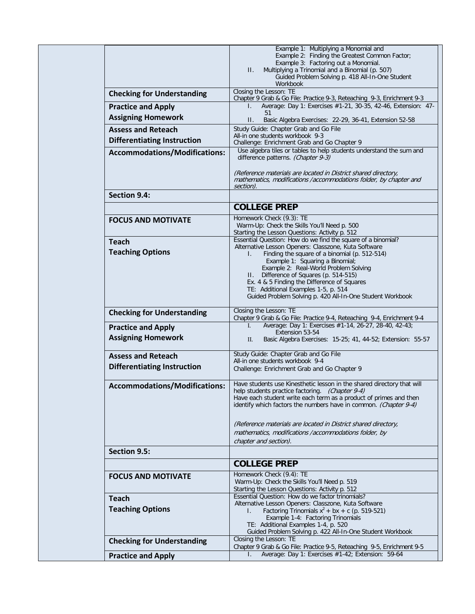|                                      | Example 1: Multiplying a Monomial and<br>Example 2: Finding the Greatest Common Factor;<br>Example 3: Factoring out a Monomial.<br>$\Pi$ .<br>Multiplying a Trinomial and a Binomial (p. 507)<br>Guided Problem Solving p. 418 All-In-One Student<br>Workbook |
|--------------------------------------|---------------------------------------------------------------------------------------------------------------------------------------------------------------------------------------------------------------------------------------------------------------|
| <b>Checking for Understanding</b>    | Closing the Lesson: TE<br>Chapter 9 Grab & Go File: Practice 9-3, Reteaching 9-3, Enrichment 9-3                                                                                                                                                              |
| <b>Practice and Apply</b>            | Average: Day 1: Exercises #1-21, 30-35, 42-46, Extension: 47-<br>I.                                                                                                                                                                                           |
| <b>Assigning Homework</b>            | 51<br>$\Pi$ .<br>Basic Algebra Exercises: 22-29, 36-41, Extension 52-58                                                                                                                                                                                       |
| <b>Assess and Reteach</b>            | Study Guide: Chapter Grab and Go File<br>All-in one students workbook 9-3                                                                                                                                                                                     |
| <b>Differentiating Instruction</b>   | Challenge: Enrichment Grab and Go Chapter 9                                                                                                                                                                                                                   |
| <b>Accommodations/Modifications:</b> | Use algebra tiles or tables to help students understand the sum and<br>difference patterns. (Chapter 9-3)                                                                                                                                                     |
|                                      | (Reference materials are located in District shared directory,<br>mathematics, modifications /accommodations folder, by chapter and<br>section).                                                                                                              |
| <b>Section 9.4:</b>                  |                                                                                                                                                                                                                                                               |
|                                      | <b>COLLEGE PREP</b>                                                                                                                                                                                                                                           |
| <b>FOCUS AND MOTIVATE</b>            | Homework Check (9.3): TE                                                                                                                                                                                                                                      |
|                                      | Warm-Up: Check the Skills You'll Need p. 500<br>Starting the Lesson Questions: Activity p. 512                                                                                                                                                                |
| <b>Teach</b>                         | Essential Question: How do we find the square of a binomial?<br>Alternative Lesson Openers: Classzone, Kuta Software                                                                                                                                          |
| <b>Teaching Options</b>              | Finding the square of a binomial (p. 512-514)<br>I.                                                                                                                                                                                                           |
|                                      | Example 1: Squaring a Binomial;<br>Example 2: Real-World Problem Solving                                                                                                                                                                                      |
|                                      | II. Difference of Squares (p. 514-515)                                                                                                                                                                                                                        |
|                                      | Ex. 4 & 5 Finding the Difference of Squares<br>TE: Additional Examples 1-5, p. 514                                                                                                                                                                            |
|                                      | Guided Problem Solving p. 420 All-In-One Student Workbook                                                                                                                                                                                                     |
| <b>Checking for Understanding</b>    | Closing the Lesson: TE                                                                                                                                                                                                                                        |
| <b>Practice and Apply</b>            | Chapter 9 Grab & Go File: Practice 9-4, Reteaching 9-4, Enrichment 9-4<br>Average: Day 1: Exercises #1-14, 26-27, 28-40, 42-43;<br>I.                                                                                                                         |
| <b>Assigning Homework</b>            | Extension 53-54<br>П.<br>Basic Algebra Exercises: 15-25; 41, 44-52; Extension: 55-57                                                                                                                                                                          |
| <b>Assess and Reteach</b>            | Study Guide: Chapter Grab and Go File<br>All-in one students workbook 9-4                                                                                                                                                                                     |
| <b>Differentiating Instruction</b>   | Challenge: Enrichment Grab and Go Chapter 9                                                                                                                                                                                                                   |
|                                      | Have students use Kinesthetic lesson in the shared directory that will                                                                                                                                                                                        |
| <b>Accommodations/Modifications:</b> | help students practice factoring. (Chapter 9-4)<br>Have each student write each term as a product of primes and then<br>identify which factors the numbers have in common. (Chapter 9-4)                                                                      |
|                                      | (Reference materials are located in District shared directory,<br>mathematics, modifications /accommodations folder, by                                                                                                                                       |
|                                      | chapter and section).                                                                                                                                                                                                                                         |
| Section 9.5:                         |                                                                                                                                                                                                                                                               |
|                                      | <b>COLLEGE PREP</b>                                                                                                                                                                                                                                           |
| <b>FOCUS AND MOTIVATE</b>            | Homework Check (9.4): TE<br>Warm-Up: Check the Skills You'll Need p. 519<br>Starting the Lesson Questions: Activity p. 512                                                                                                                                    |
| <b>Teach</b>                         | Essential Question: How do we factor trinomials?                                                                                                                                                                                                              |
| <b>Teaching Options</b>              | Alternative Lesson Openers: Classzone, Kuta Software<br>Factoring Trinomials $x^2$ + bx + c (p. 519-521)<br>L.                                                                                                                                                |
|                                      | Example 1-4: Factoring Trinomials                                                                                                                                                                                                                             |
|                                      | TE: Additional Examples 1-4, p. 520<br>Guided Problem Solving p. 422 All-In-One Student Workbook                                                                                                                                                              |
| <b>Checking for Understanding</b>    | Closing the Lesson: TE                                                                                                                                                                                                                                        |
| <b>Practice and Apply</b>            | Chapter 9 Grab & Go File: Practice 9-5, Reteaching 9-5, Enrichment 9-5<br>Average: Day 1: Exercises #1-42; Extension: 59-64<br>L.                                                                                                                             |
|                                      |                                                                                                                                                                                                                                                               |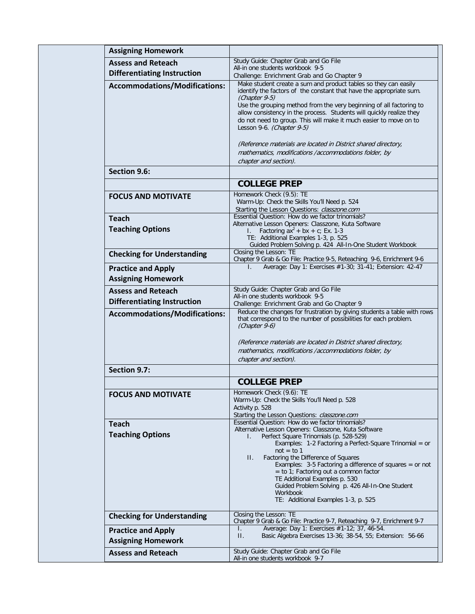| <b>Assigning Homework</b>                                       |                                                                                                                                                                                                                                                                                                                                                                                                                                                                                                                             |
|-----------------------------------------------------------------|-----------------------------------------------------------------------------------------------------------------------------------------------------------------------------------------------------------------------------------------------------------------------------------------------------------------------------------------------------------------------------------------------------------------------------------------------------------------------------------------------------------------------------|
| <b>Assess and Reteach</b>                                       | Study Guide: Chapter Grab and Go File<br>All-in one students workbook 9-5                                                                                                                                                                                                                                                                                                                                                                                                                                                   |
| <b>Differentiating Instruction</b>                              | Challenge: Enrichment Grab and Go Chapter 9                                                                                                                                                                                                                                                                                                                                                                                                                                                                                 |
| <b>Accommodations/Modifications:</b>                            | Make student create a sum and product tables so they can easily<br>identify the factors of the constant that have the appropriate sum.<br>(Chapter 9-5)<br>Use the grouping method from the very beginning of all factoring to<br>allow consistency in the process. Students will quickly realize they<br>do not need to group. This will make it much easier to move on to<br>Lesson 9-6. (Chapter 9-5)<br>(Reference materials are located in District shared directory,                                                  |
|                                                                 | mathematics, modifications /accommodations folder, by<br>chapter and section).                                                                                                                                                                                                                                                                                                                                                                                                                                              |
| Section 9.6:                                                    |                                                                                                                                                                                                                                                                                                                                                                                                                                                                                                                             |
|                                                                 | <b>COLLEGE PREP</b>                                                                                                                                                                                                                                                                                                                                                                                                                                                                                                         |
| <b>FOCUS AND MOTIVATE</b>                                       | Homework Check (9.5): TE<br>Warm-Up: Check the Skills You'll Need p. 524<br>Starting the Lesson Questions: classzone.com                                                                                                                                                                                                                                                                                                                                                                                                    |
| <b>Teach</b><br><b>Teaching Options</b>                         | Essential Question: How do we factor trinomials?<br>Alternative Lesson Openers: Classzone, Kuta Software<br>Factoring $ax^2 + bx + c$ ; Ex. 1-3<br>L.<br>TE: Additional Examples 1-3, p. 525<br>Guided Problem Solving p. 424 All-In-One Student Workbook                                                                                                                                                                                                                                                                   |
| <b>Checking for Understanding</b>                               | Closing the Lesson: TE<br>Chapter 9 Grab & Go File: Practice 9-5, Reteaching 9-6, Enrichment 9-6                                                                                                                                                                                                                                                                                                                                                                                                                            |
| <b>Practice and Apply</b><br><b>Assigning Homework</b>          | Average: Day 1: Exercises #1-30; 31-41; Extension: 42-47<br>L.                                                                                                                                                                                                                                                                                                                                                                                                                                                              |
| <b>Assess and Reteach</b><br><b>Differentiating Instruction</b> | Study Guide: Chapter Grab and Go File<br>All-in one students workbook 9-5<br>Challenge: Enrichment Grab and Go Chapter 9                                                                                                                                                                                                                                                                                                                                                                                                    |
| <b>Accommodations/Modifications:</b>                            | Reduce the changes for frustration by giving students a table with rows<br>that correspond to the number of possibilities for each problem.<br>(Chapter 9-6)<br>(Reference materials are located in District shared directory,<br>mathematics, modifications /accommodations folder, by<br>chapter and section).                                                                                                                                                                                                            |
| Section 9.7:                                                    |                                                                                                                                                                                                                                                                                                                                                                                                                                                                                                                             |
|                                                                 | <b>COLLEGE PREP</b>                                                                                                                                                                                                                                                                                                                                                                                                                                                                                                         |
| <b>FOCUS AND MOTIVATE</b>                                       | Homework Check (9.6): TE<br>Warm-Up: Check the Skills You'll Need p. 528<br>Activity p. 528<br>Starting the Lesson Questions: classzone.com                                                                                                                                                                                                                                                                                                                                                                                 |
| <b>Teach</b><br><b>Teaching Options</b>                         | Essential Question: How do we factor trinomials?<br>Alternative Lesson Openers: Classzone, Kuta Software<br>Perfect Square Trinomials (p. 528-529)<br>Examples: 1-2 Factoring a Perfect-Square Trinomial = or<br>$not = to 1$<br>Factoring the Difference of Squares<br>Н.<br>Examples: $3-5$ Factoring a difference of squares = or not<br>$=$ to 1; Factoring out a common factor<br>TE Additional Examples p. 530<br>Guided Problem Solving p. 426 All-In-One Student<br>Workbook<br>TE: Additional Examples 1-3, p. 525 |
| <b>Checking for Understanding</b>                               | Closing the Lesson: TE<br>Chapter 9 Grab & Go File: Practice 9-7, Reteaching 9-7, Enrichment 9-7                                                                                                                                                                                                                                                                                                                                                                                                                            |
| <b>Practice and Apply</b><br><b>Assigning Homework</b>          | Average: Day 1: Exercises #1-12; 37, 46-54.<br>I.<br>$\Pi$ .<br>Basic Algebra Exercises 13-36; 38-54, 55; Extension: 56-66                                                                                                                                                                                                                                                                                                                                                                                                  |
| <b>Assess and Reteach</b>                                       | Study Guide: Chapter Grab and Go File<br>All-in one students workbook 9-7                                                                                                                                                                                                                                                                                                                                                                                                                                                   |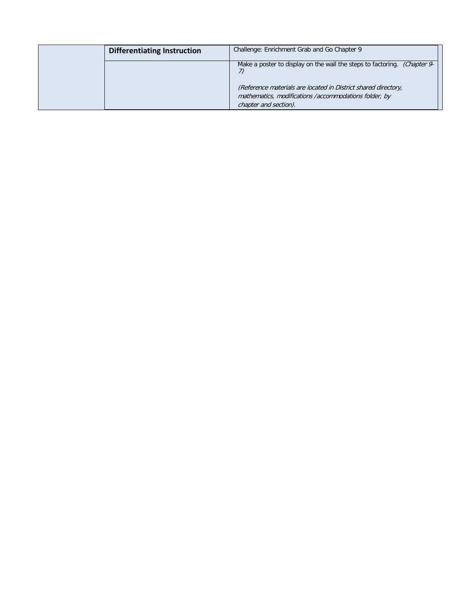| <b>Differentiating Instruction</b> | Challenge: Enrichment Grab and Go Chapter 9                                                                                                                                                                                  |
|------------------------------------|------------------------------------------------------------------------------------------------------------------------------------------------------------------------------------------------------------------------------|
|                                    | Make a poster to display on the wall the steps to factoring. (Chapter 9-<br>(Reference materials are located in District shared directory,<br>mathematics, modifications /accommodations folder, by<br>chapter and section). |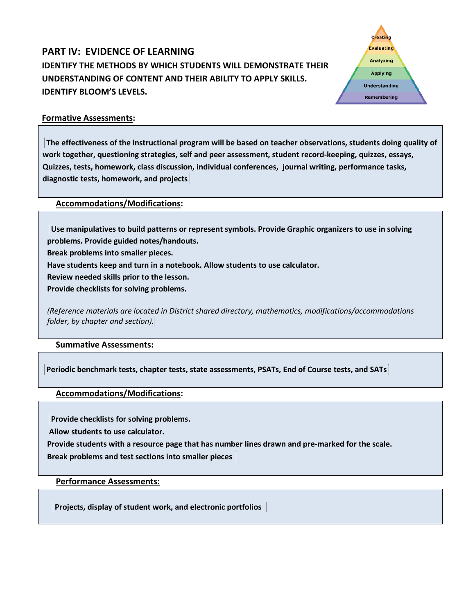# **PART IV: EVIDENCE OF LEARNING IDENTIFY THE METHODS BY WHICH STUDENTS WILL DEMONSTRATE THEIR UNDERSTANDING OF CONTENT AND THEIR ABILITY TO APPLY SKILLS. IDENTIFY BLOOM'S LEVELS.**



# **Formative Assessments:**

**The effectiveness of the instructional program will be based on teacher observations, students doing quality of work together, questioning strategies, self and peer assessment, student record-keeping, quizzes, essays, Quizzes, tests, homework, class discussion, individual conferences, journal writing, performance tasks, diagnostic tests, homework, and projects**

**Accommodations/Modifications:**

**Use manipulatives to build patterns or represent symbols. Provide Graphic organizers to use in solving problems. Provide guided notes/handouts.**

**Break problems into smaller pieces.**

**Have students keep and turn in a notebook. Allow students to use calculator.**

**Review needed skills prior to the lesson.**

**Provide checklists for solving problems.**

*(Reference materials are located in District shared directory, mathematics, modifications/accommodations folder, by chapter and section).*

### **Summative Assessments:**

**Periodic benchmark tests, chapter tests, state assessments, PSATs, End of Course tests, and SATs**

**Accommodations/Modifications:**

**Provide checklists for solving problems.**

**Allow students to use calculator.**

**Provide students with a resource page that has number lines drawn and pre-marked for the scale.**

**Break problems and test sections into smaller pieces** 

**Performance Assessments:**

**Projects, display of student work, and electronic portfolios**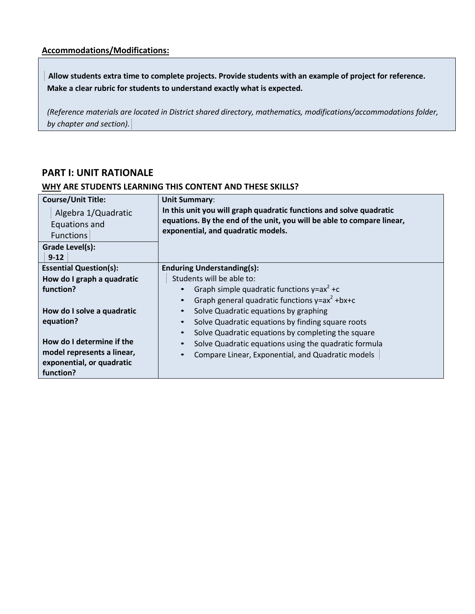**Allow students extra time to complete projects. Provide students with an example of project for reference. Make a clear rubric for students to understand exactly what is expected.**

*(Reference materials are located in District shared directory, mathematics, modifications/accommodations folder, by chapter and section).*

# **PART I: UNIT RATIONALE**

| <b>Course/Unit Title:</b><br>Algebra 1/Quadratic<br>Equations and<br><b>Functions</b><br>Grade Level(s):<br>$9-12$ | <b>Unit Summary:</b><br>In this unit you will graph quadratic functions and solve quadratic<br>equations. By the end of the unit, you will be able to compare linear,<br>exponential, and quadratic models. |
|--------------------------------------------------------------------------------------------------------------------|-------------------------------------------------------------------------------------------------------------------------------------------------------------------------------------------------------------|
| <b>Essential Question(s):</b>                                                                                      | <b>Enduring Understanding(s):</b>                                                                                                                                                                           |
| How do I graph a quadratic                                                                                         | Students will be able to:                                                                                                                                                                                   |
| function?                                                                                                          | Graph simple quadratic functions $y = ax^2 + c$                                                                                                                                                             |
|                                                                                                                    | Graph general quadratic functions $y = ax^2 + bx + c$<br>$\bullet$                                                                                                                                          |
| How do I solve a quadratic                                                                                         | Solve Quadratic equations by graphing<br>$\bullet$                                                                                                                                                          |
| equation?                                                                                                          | Solve Quadratic equations by finding square roots<br>$\bullet$                                                                                                                                              |
|                                                                                                                    | Solve Quadratic equations by completing the square<br>$\bullet$                                                                                                                                             |
| How do I determine if the                                                                                          | Solve Quadratic equations using the quadratic formula                                                                                                                                                       |
| model represents a linear,                                                                                         | Compare Linear, Exponential, and Quadratic models<br>$\bullet$                                                                                                                                              |
| exponential, or quadratic                                                                                          |                                                                                                                                                                                                             |
| function?                                                                                                          |                                                                                                                                                                                                             |

### **WHY ARE STUDENTS LEARNING THIS CONTENT AND THESE SKILLS?**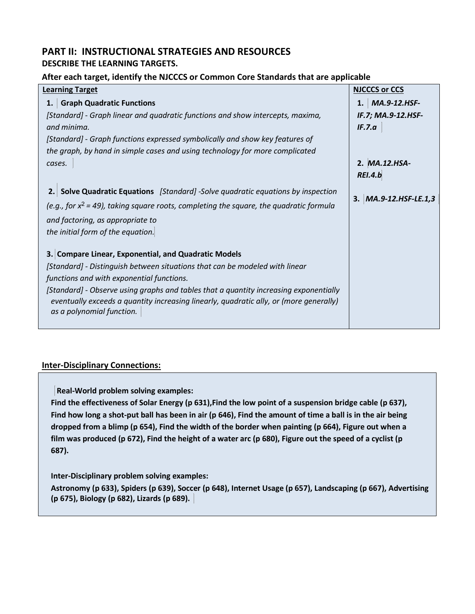# **PART II: INSTRUCTIONAL STRATEGIES AND RESOURCES DESCRIBE THE LEARNING TARGETS.**

# **After each target, identify the NJCCCS or Common Core Standards that are applicable**

| <b>Learning Target</b>                                                                                                                                                                                       | <b>NJCCCS or CCS</b>    |
|--------------------------------------------------------------------------------------------------------------------------------------------------------------------------------------------------------------|-------------------------|
| <b>Graph Quadratic Functions</b><br>1.                                                                                                                                                                       | MA.9-12.HSF-<br>1.      |
| [Standard] - Graph linear and quadratic functions and show intercepts, maxima,                                                                                                                               | IF.7; MA.9-12.HSF-      |
| and minima.                                                                                                                                                                                                  | IF.7.a                  |
| [Standard] - Graph functions expressed symbolically and show key features of                                                                                                                                 |                         |
| the graph, by hand in simple cases and using technology for more complicated                                                                                                                                 |                         |
| cases.                                                                                                                                                                                                       | 2. MA.12.HSA-           |
|                                                                                                                                                                                                              | <b>REI.4.b</b>          |
| 2. Solve Quadratic Equations [Standard] -Solve quadratic equations by inspection                                                                                                                             |                         |
| (e.g., for $x^2$ = 49), taking square roots, completing the square, the quadratic formula                                                                                                                    | 3. $MA.9-12.HSF-LE.1,3$ |
| and factoring, as appropriate to                                                                                                                                                                             |                         |
| the initial form of the equation.                                                                                                                                                                            |                         |
|                                                                                                                                                                                                              |                         |
| 3. Compare Linear, Exponential, and Quadratic Models                                                                                                                                                         |                         |
| [Standard] - Distinguish between situations that can be modeled with linear                                                                                                                                  |                         |
| functions and with exponential functions.                                                                                                                                                                    |                         |
| [Standard] - Observe using graphs and tables that a quantity increasing exponentially<br>eventually exceeds a quantity increasing linearly, quadratic ally, or (more generally)<br>as a polynomial function. |                         |
|                                                                                                                                                                                                              |                         |

# **Inter-Disciplinary Connections:**

**Real-World problem solving examples:**

**Find the effectiveness of Solar Energy (p 631),Find the low point of a suspension bridge cable (p 637), Find how long a shot-put ball has been in air (p 646), Find the amount of time a ball is in the air being dropped from a blimp (p 654), Find the width of the border when painting (p 664), Figure out when a film was produced (p 672), Find the height of a water arc (p 680), Figure out the speed of a cyclist (p 687).**

**Inter-Disciplinary problem solving examples:**

**Astronomy (p 633), Spiders (p 639), Soccer (p 648), Internet Usage (p 657), Landscaping (p 667), Advertising (p 675), Biology (p 682), Lizards (p 689).**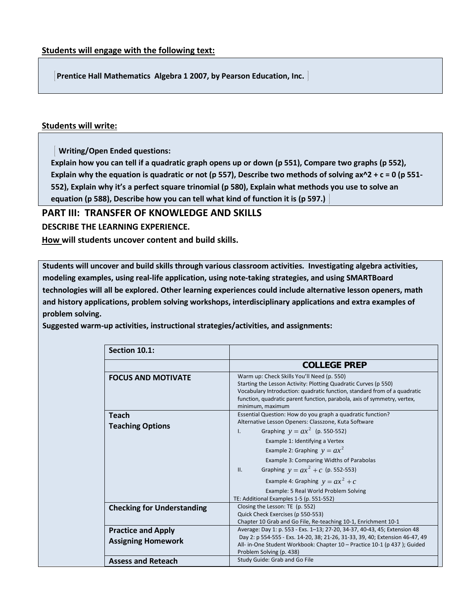**Prentice Hall Mathematics Algebra 1 2007, by Pearson Education, Inc.** 

# **Students will write:**

 **Writing/Open Ended questions:**

**Explain how you can tell if a quadratic graph opens up or down (p 551), Compare two graphs (p 552), Explain why the equation is quadratic or not (p 557), Describe two methods of solving ax^2 + c = 0 (p 551- 552), Explain why it's a perfect square trinomial (p 580), Explain what methods you use to solve an equation (p 588), Describe how you can tell what kind of function it is (p 597.)** 

# **PART III: TRANSFER OF KNOWLEDGE AND SKILLS**

**DESCRIBE THE LEARNING EXPERIENCE.**

**How will students uncover content and build skills.** 

**Students will uncover and build skills through various classroom activities. Investigating algebra activities, modeling examples, using real-life application, using note-taking strategies, and using SMARTBoard technologies will all be explored. Other learning experiences could include alternative lesson openers, math and history applications, problem solving workshops, interdisciplinary applications and extra examples of problem solving.**

**Suggested warm-up activities, instructional strategies/activities, and assignments:** 

| Section 10.1:                                          |                                                                                                                                                                                                                                                                                                                                                                                                                                                                   |
|--------------------------------------------------------|-------------------------------------------------------------------------------------------------------------------------------------------------------------------------------------------------------------------------------------------------------------------------------------------------------------------------------------------------------------------------------------------------------------------------------------------------------------------|
|                                                        | <b>COLLEGE PREP</b>                                                                                                                                                                                                                                                                                                                                                                                                                                               |
| <b>FOCUS AND MOTIVATE</b>                              | Warm up: Check Skills You'll Need (p. 550)<br>Starting the Lesson Activity: Plotting Quadratic Curves (p 550)<br>Vocabulary Introduction: quadratic function, standard from of a quadratic<br>function, quadratic parent function, parabola, axis of symmetry, vertex,<br>minimum, maximum                                                                                                                                                                        |
| <b>Teach</b><br><b>Teaching Options</b>                | Essential Question: How do you graph a quadratic function?<br>Alternative Lesson Openers: Classzone, Kuta Software<br>Graphing $y = ax^2$ (p. 550-552)<br>$\mathbf{L}$<br>Example 1: Identifying a Vertex<br>Example 2: Graphing $y = ax^2$<br>Example 3: Comparing Widths of Parabolas<br>Graphing $y = ax^2 + c$ (p. 552-553)<br>II.<br>Example 4: Graphing $y = ax^2 + c$<br>Example: 5 Real World Problem Solving<br>TE: Additional Examples 1-5 (p. 551-552) |
| <b>Checking for Understanding</b>                      | Closing the Lesson: TE (p. 552)<br>Quick Check Exercises (p 550-553)<br>Chapter 10 Grab and Go File, Re-teaching 10-1, Enrichment 10-1                                                                                                                                                                                                                                                                                                                            |
| <b>Practice and Apply</b><br><b>Assigning Homework</b> | Average: Day 1: p. 553 - Exs. 1–13; 27-20, 34-37, 40-43, 45; Extension 48<br>Day 2: p 554-555 - Exs. 14-20, 38; 21-26, 31-33, 39, 40; Extension 46-47, 49<br>All- in-One Student Workbook: Chapter 10 - Practice 10-1 (p 437); Guided<br>Problem Solving (p. 438)                                                                                                                                                                                                 |
| <b>Assess and Reteach</b>                              | Study Guide: Grab and Go File                                                                                                                                                                                                                                                                                                                                                                                                                                     |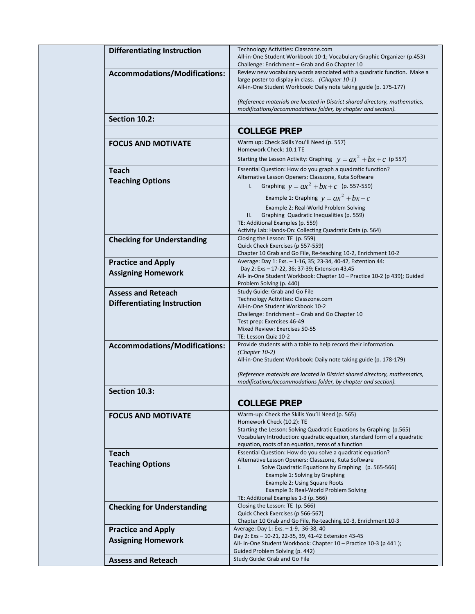| <b>Differentiating Instruction</b>   | Technology Activities: Classzone.com<br>All-in-One Student Workbook 10-1; Vocabulary Graphic Organizer (p.453)<br>Challenge: Enrichment - Grab and Go Chapter 10                                  |
|--------------------------------------|---------------------------------------------------------------------------------------------------------------------------------------------------------------------------------------------------|
| <b>Accommodations/Modifications:</b> | Review new vocabulary words associated with a quadratic function. Make a<br>large poster to display in class. (Chapter 10-1)<br>All-in-One Student Workbook: Daily note taking guide (p. 175-177) |
|                                      | (Reference materials are located in District shared directory, mathematics,<br>modifications/accommodations folder, by chapter and section).                                                      |
| Section 10.2:                        |                                                                                                                                                                                                   |
|                                      | <b>COLLEGE PREP</b>                                                                                                                                                                               |
| <b>FOCUS AND MOTIVATE</b>            | Warm up: Check Skills You'll Need (p. 557)                                                                                                                                                        |
|                                      | Homework Check: 10.1 TE<br>Starting the Lesson Activity: Graphing $y = ax^2 + bx + c$ (p 557)                                                                                                     |
|                                      | Essential Question: How do you graph a quadratic function?                                                                                                                                        |
| <b>Teach</b>                         | Alternative Lesson Openers: Classzone, Kuta Software                                                                                                                                              |
| <b>Teaching Options</b>              | Graphing $y = ax^2 + bx + c$ (p. 557-559)<br>$\mathsf{L}$                                                                                                                                         |
|                                      | Example 1: Graphing $y = ax^2 + bx + c$                                                                                                                                                           |
|                                      | Example 2: Real-World Problem Solving                                                                                                                                                             |
|                                      | Graphing Quadratic Inequalities (p. 559)<br>Ш.                                                                                                                                                    |
|                                      | TE: Additional Examples (p. 559)<br>Activity Lab: Hands-On: Collecting Quadratic Data (p. 564)                                                                                                    |
| <b>Checking for Understanding</b>    | Closing the Lesson: TE (p. 559)                                                                                                                                                                   |
|                                      | Quick Check Exercises (p 557-559)                                                                                                                                                                 |
|                                      | Chapter 10 Grab and Go File, Re-teaching 10-2, Enrichment 10-2<br>Average: Day 1: Exs. - 1-16, 35; 23-34, 40-42, Extention 44:                                                                    |
| <b>Practice and Apply</b>            | Day 2: Exs - 17-22, 36; 37-39; Extension 43,45                                                                                                                                                    |
| <b>Assigning Homework</b>            | All- in-One Student Workbook: Chapter 10 - Practice 10-2 (p 439); Guided                                                                                                                          |
|                                      | Problem Solving (p. 440)<br>Study Guide: Grab and Go File                                                                                                                                         |
| <b>Assess and Reteach</b>            | Technology Activities: Classzone.com                                                                                                                                                              |
| <b>Differentiating Instruction</b>   | All-in-One Student Workbook 10-2                                                                                                                                                                  |
|                                      | Challenge: Enrichment – Grab and Go Chapter 10<br>Test prep: Exercises 46-49                                                                                                                      |
|                                      | Mixed Review: Exercises 50-55                                                                                                                                                                     |
|                                      | TE: Lesson Quiz 10-2                                                                                                                                                                              |
| <b>Accommodations/Modifications:</b> | Provide students with a table to help record their information.<br>$(Chapter 10-2)$                                                                                                               |
|                                      | All-in-One Student Workbook: Daily note taking guide (p. 178-179)                                                                                                                                 |
|                                      | (Reference materials are located in District shared directory, mathematics,<br>modifications/accommodations folder, by chapter and section).                                                      |
| Section 10.3:                        |                                                                                                                                                                                                   |
|                                      | <b>COLLEGE PREP</b>                                                                                                                                                                               |
| <b>FOCUS AND MOTIVATE</b>            | Warm-up: Check the Skills You'll Need (p. 565)                                                                                                                                                    |
|                                      | Homework Check (10.2): TE<br>Starting the Lesson: Solving Quadratic Equations by Graphing (p.565)                                                                                                 |
|                                      | Vocabulary Introduction: quadratic equation, standard form of a quadratic                                                                                                                         |
|                                      | equation, roots of an equation, zeros of a function                                                                                                                                               |
| <b>Teach</b>                         | Essential Question: How do you solve a quadratic equation?<br>Alternative Lesson Openers: Classzone, Kuta Software                                                                                |
| <b>Teaching Options</b>              | Solve Quadratic Equations by Graphing (p. 565-566)<br>Ι.                                                                                                                                          |
|                                      | Example 1: Solving by Graphing                                                                                                                                                                    |
|                                      | Example 2: Using Square Roots<br>Example 3: Real-World Problem Solving                                                                                                                            |
|                                      | TE: Additional Examples 1-3 (p. 566)                                                                                                                                                              |
| <b>Checking for Understanding</b>    | Closing the Lesson: TE (p. 566)                                                                                                                                                                   |
|                                      | Quick Check Exercises (p 566-567)<br>Chapter 10 Grab and Go File, Re-teaching 10-3, Enrichment 10-3                                                                                               |
| <b>Practice and Apply</b>            | Average: Day 1: Exs. - 1-9, 36-38, 40                                                                                                                                                             |
| <b>Assigning Homework</b>            | Day 2: Exs - 10-21, 22-35, 39, 41-42 Extension 43-45                                                                                                                                              |
|                                      | All- in-One Student Workbook: Chapter 10 - Practice 10-3 (p 441);<br>Guided Problem Solving (p. 442)                                                                                              |
| <b>Assess and Reteach</b>            | Study Guide: Grab and Go File                                                                                                                                                                     |
|                                      |                                                                                                                                                                                                   |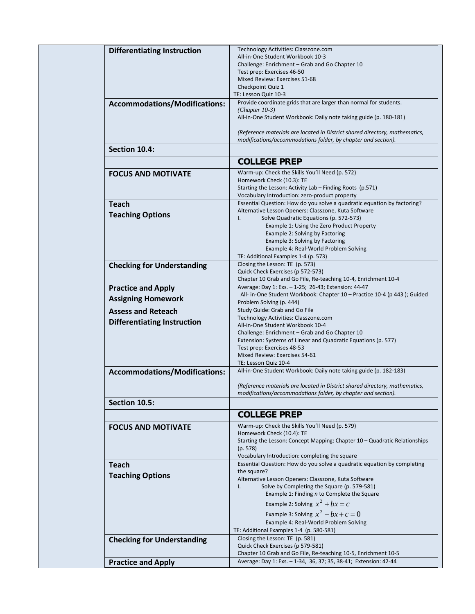|                                      | Technology Activities: Classzone.com                                                                                               |
|--------------------------------------|------------------------------------------------------------------------------------------------------------------------------------|
| <b>Differentiating Instruction</b>   | All-in-One Student Workbook 10-3                                                                                                   |
|                                      | Challenge: Enrichment - Grab and Go Chapter 10                                                                                     |
|                                      | Test prep: Exercises 46-50                                                                                                         |
|                                      | Mixed Review: Exercises 51-68                                                                                                      |
|                                      | Checkpoint Quiz 1                                                                                                                  |
|                                      | TE: Lesson Quiz 10-3                                                                                                               |
| <b>Accommodations/Modifications:</b> | Provide coordinate grids that are larger than normal for students.                                                                 |
|                                      | $(Chapter 10-3)$                                                                                                                   |
|                                      | All-in-One Student Workbook: Daily note taking guide (p. 180-181)                                                                  |
|                                      |                                                                                                                                    |
|                                      | (Reference materials are located in District shared directory, mathematics,                                                        |
|                                      | modifications/accommodations folder, by chapter and section).                                                                      |
| Section 10.4:                        |                                                                                                                                    |
|                                      |                                                                                                                                    |
|                                      | <b>COLLEGE PREP</b>                                                                                                                |
| <b>FOCUS AND MOTIVATE</b>            | Warm-up: Check the Skills You'll Need (p. 572)                                                                                     |
|                                      | Homework Check (10.3): TE                                                                                                          |
|                                      | Starting the Lesson: Activity Lab - Finding Roots (p.571)                                                                          |
|                                      | Vocabulary Introduction: zero-product property                                                                                     |
| <b>Teach</b>                         | Essential Question: How do you solve a quadratic equation by factoring?                                                            |
| <b>Teaching Options</b>              | Alternative Lesson Openers: Classzone, Kuta Software                                                                               |
|                                      | Solve Quadratic Equations (p. 572-573)<br>$\mathsf{L}$                                                                             |
|                                      | Example 1: Using the Zero Product Property                                                                                         |
|                                      | Example 2: Solving by Factoring                                                                                                    |
|                                      | Example 3: Solving by Factoring                                                                                                    |
|                                      | Example 4: Real-World Problem Solving                                                                                              |
|                                      | TE: Additional Examples 1-4 (p. 573)                                                                                               |
| <b>Checking for Understanding</b>    | Closing the Lesson: TE (p. 573)                                                                                                    |
|                                      | Quick Check Exercises (p 572-573)                                                                                                  |
|                                      | Chapter 10 Grab and Go File, Re-teaching 10-4, Enrichment 10-4                                                                     |
| <b>Practice and Apply</b>            | Average: Day 1: Exs. - 1-25; 26-43; Extension: 44-47<br>All- in-One Student Workbook: Chapter 10 - Practice 10-4 (p 443); Guided   |
| <b>Assigning Homework</b>            | Problem Solving (p. 444)                                                                                                           |
|                                      | Study Guide: Grab and Go File                                                                                                      |
| <b>Assess and Reteach</b>            | Technology Activities: Classzone.com                                                                                               |
| <b>Differentiating Instruction</b>   | All-in-One Student Workbook 10-4                                                                                                   |
|                                      | Challenge: Enrichment - Grab and Go Chapter 10                                                                                     |
|                                      | Extension: Systems of Linear and Quadratic Equations (p. 577)                                                                      |
|                                      | Test prep: Exercises 48-53                                                                                                         |
|                                      | Mixed Review: Exercises 54-61                                                                                                      |
|                                      | TE: Lesson Quiz 10-4                                                                                                               |
| <b>Accommodations/Modifications:</b> | All-in-One Student Workbook: Daily note taking guide (p. 182-183)                                                                  |
|                                      |                                                                                                                                    |
|                                      | (Reference materials are located in District shared directory, mathematics,                                                        |
|                                      | modifications/accommodations folder, by chapter and section).                                                                      |
| Section 10.5:                        |                                                                                                                                    |
|                                      | <b>COLLEGE PREP</b>                                                                                                                |
|                                      | Warm-up: Check the Skills You'll Need (p. 579)                                                                                     |
| <b>FOCUS AND MOTIVATE</b>            | Homework Check (10.4): TE                                                                                                          |
|                                      | Starting the Lesson: Concept Mapping: Chapter 10 - Quadratic Relationships                                                         |
|                                      | (p. 578)                                                                                                                           |
|                                      | Vocabulary Introduction: completing the square                                                                                     |
| <b>Teach</b>                         | Essential Question: How do you solve a quadratic equation by completing                                                            |
|                                      | the square?                                                                                                                        |
| <b>Teaching Options</b>              | Alternative Lesson Openers: Classzone, Kuta Software                                                                               |
|                                      | Solve by Completing the Square (p. 579-581)<br>$\mathsf{L}$                                                                        |
|                                      | Example 1: Finding n to Complete the Square                                                                                        |
|                                      | Example 2: Solving $x^2 + bx = c$                                                                                                  |
|                                      |                                                                                                                                    |
|                                      | Example 3: Solving $x^2 + bx + c = 0$                                                                                              |
|                                      | Example 4: Real-World Problem Solving                                                                                              |
|                                      | TE: Additional Examples 1-4 (p. 580-581)                                                                                           |
| <b>Checking for Understanding</b>    | Closing the Lesson: TE (p. 581)                                                                                                    |
|                                      | Quick Check Exercises (p 579-581)                                                                                                  |
|                                      |                                                                                                                                    |
| <b>Practice and Apply</b>            | Chapter 10 Grab and Go File, Re-teaching 10-5, Enrichment 10-5<br>Average: Day 1: Exs. - 1-34, 36, 37; 35, 38-41; Extension: 42-44 |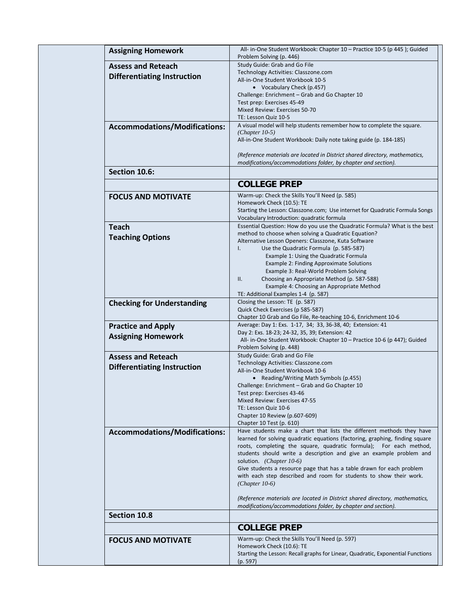| <b>Assigning Homework</b>            | All- in-One Student Workbook: Chapter 10 – Practice 10-5 (p 445); Guided                                                                           |
|--------------------------------------|----------------------------------------------------------------------------------------------------------------------------------------------------|
|                                      | Problem Solving (p. 446)                                                                                                                           |
| <b>Assess and Reteach</b>            | Study Guide: Grab and Go File                                                                                                                      |
| <b>Differentiating Instruction</b>   | Technology Activities: Classzone.com<br>All-in-One Student Workbook 10-5                                                                           |
|                                      | • Vocabulary Check (p.457)                                                                                                                         |
|                                      | Challenge: Enrichment - Grab and Go Chapter 10                                                                                                     |
|                                      | Test prep: Exercises 45-49                                                                                                                         |
|                                      | Mixed Review: Exercises 50-70                                                                                                                      |
|                                      | TE: Lesson Quiz 10-5                                                                                                                               |
| <b>Accommodations/Modifications:</b> | A visual model will help students remember how to complete the square.                                                                             |
|                                      | $(Chapter 10-5)$<br>All-in-One Student Workbook: Daily note taking guide (p. 184-185)                                                              |
|                                      |                                                                                                                                                    |
|                                      | (Reference materials are located in District shared directory, mathematics,                                                                        |
|                                      | modifications/accommodations folder, by chapter and section).                                                                                      |
| Section 10.6:                        |                                                                                                                                                    |
|                                      | <b>COLLEGE PREP</b>                                                                                                                                |
|                                      |                                                                                                                                                    |
| <b>FOCUS AND MOTIVATE</b>            | Warm-up: Check the Skills You'll Need (p. 585)<br>Homework Check (10.5): TE                                                                        |
|                                      | Starting the Lesson: Classzone.com; Use internet for Quadratic Formula Songs                                                                       |
|                                      | Vocabulary Introduction: quadratic formula                                                                                                         |
| <b>Teach</b>                         | Essential Question: How do you use the Quadratic Formula? What is the best                                                                         |
|                                      | method to choose when solving a Quadratic Equation?                                                                                                |
| <b>Teaching Options</b>              | Alternative Lesson Openers: Classzone, Kuta Software                                                                                               |
|                                      | $\mathsf{L}$<br>Use the Quadratic Formula (p. 585-587)                                                                                             |
|                                      | Example 1: Using the Quadratic Formula                                                                                                             |
|                                      | Example 2: Finding Approximate Solutions<br>Example 3: Real-World Problem Solving                                                                  |
|                                      | ΙΙ.<br>Choosing an Appropriate Method (p. 587-588)                                                                                                 |
|                                      | Example 4: Choosing an Appropriate Method                                                                                                          |
|                                      | TE: Additional Examples 1-4 (p. 587)                                                                                                               |
| <b>Checking for Understanding</b>    | Closing the Lesson: TE (p. 587)                                                                                                                    |
|                                      | Quick Check Exercises (p 585-587)                                                                                                                  |
|                                      | Chapter 10 Grab and Go File, Re-teaching 10-6, Enrichment 10-6                                                                                     |
| <b>Practice and Apply</b>            | Average: Day 1: Exs. 1-17, 34; 33, 36-38, 40; Extension: 41<br>Day 2: Exs. 18-23; 24-32, 35, 39; Extension: 42                                     |
| <b>Assigning Homework</b>            | All- in-One Student Workbook: Chapter 10 – Practice 10-6 (p 447); Guided                                                                           |
|                                      | Problem Solving (p. 448)                                                                                                                           |
| <b>Assess and Reteach</b>            | Study Guide: Grab and Go File                                                                                                                      |
| <b>Differentiating Instruction</b>   | Technology Activities: Classzone.com                                                                                                               |
|                                      | All-in-One Student Workbook 10-6                                                                                                                   |
|                                      | • Reading/Writing Math Symbols (p.455)                                                                                                             |
|                                      | Challenge: Enrichment – Grab and Go Chapter 10<br>Test prep: Exercises 43-46                                                                       |
|                                      | Mixed Review: Exercises 47-55                                                                                                                      |
|                                      | TE: Lesson Quiz 10-6                                                                                                                               |
|                                      | Chapter 10 Review (p.607-609)                                                                                                                      |
|                                      | Chapter 10 Test (p. 610)                                                                                                                           |
| <b>Accommodations/Modifications:</b> | Have students make a chart that lists the different methods they have                                                                              |
|                                      | learned for solving quadratic equations (factoring, graphing, finding square<br>roots, completing the square, quadratic formula); For each method, |
|                                      | students should write a description and give an example problem and                                                                                |
|                                      | solution. (Chapter 10-6)                                                                                                                           |
|                                      | Give students a resource page that has a table drawn for each problem                                                                              |
|                                      | with each step described and room for students to show their work.                                                                                 |
|                                      | $(Chapter 10-6)$                                                                                                                                   |
|                                      | (Reference materials are located in District shared directory, mathematics,                                                                        |
|                                      | modifications/accommodations folder, by chapter and section).                                                                                      |
| Section 10.8                         |                                                                                                                                                    |
|                                      |                                                                                                                                                    |
|                                      | <b>COLLEGE PREP</b>                                                                                                                                |
| <b>FOCUS AND MOTIVATE</b>            | Warm-up: Check the Skills You'll Need (p. 597)                                                                                                     |
|                                      | Homework Check (10.6): TE<br>Starting the Lesson: Recall graphs for Linear, Quadratic, Exponential Functions                                       |
|                                      | (p. 597)                                                                                                                                           |
|                                      |                                                                                                                                                    |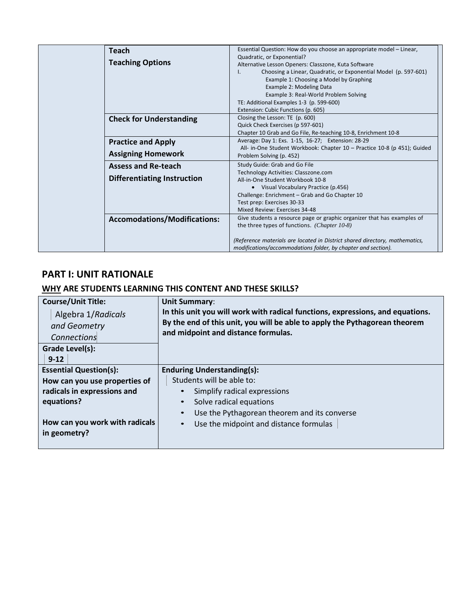| <b>Teach</b><br><b>Teaching Options</b>                          | Essential Question: How do you choose an appropriate model - Linear,<br>Quadratic, or Exponential?<br>Alternative Lesson Openers: Classzone, Kuta Software<br>Choosing a Linear, Quadratic, or Exponential Model (p. 597-601)<br>I.<br>Example 1: Choosing a Model by Graphing<br>Example 2: Modeling Data<br>Example 3: Real-World Problem Solving<br>TE: Additional Examples 1-3 (p. 599-600)<br>Extension: Cubic Functions (p. 605) |
|------------------------------------------------------------------|----------------------------------------------------------------------------------------------------------------------------------------------------------------------------------------------------------------------------------------------------------------------------------------------------------------------------------------------------------------------------------------------------------------------------------------|
| <b>Check for Understanding</b>                                   | Closing the Lesson: TE (p. 600)<br>Quick Check Exercises (p 597-601)<br>Chapter 10 Grab and Go File, Re-teaching 10-8, Enrichment 10-8                                                                                                                                                                                                                                                                                                 |
| <b>Practice and Apply</b><br><b>Assigning Homework</b>           | Average: Day 1: Exs. 1-15, 16-27; Extension: 28-29<br>All- in-One Student Workbook: Chapter 10 - Practice 10-8 (p 451); Guided<br>Problem Solving (p. 452)                                                                                                                                                                                                                                                                             |
| <b>Assess and Re-teach</b><br><b>Differentiating Instruction</b> | Study Guide: Grab and Go File<br>Technology Activities: Classzone.com<br>All-in-One Student Workbook 10-8<br>• Visual Vocabulary Practice (p.456)<br>Challenge: Enrichment - Grab and Go Chapter 10<br>Test prep: Exercises 30-33<br>Mixed Review: Exercises 34-48                                                                                                                                                                     |
| <b>Accomodations/Modifications:</b>                              | Give students a resource page or graphic organizer that has examples of<br>the three types of functions. (Chapter 10-8)<br>(Reference materials are located in District shared directory, mathematics,<br>modifications/accommodations folder, by chapter and section).                                                                                                                                                                |

# **PART I: UNIT RATIONALE**

# **WHY ARE STUDENTS LEARNING THIS CONTENT AND THESE SKILLS?**

| <b>Course/Unit Title:</b><br>Algebra 1/Radicals<br>and Geometry<br>Connections<br>Grade Level(s):<br>$9 - 12$                                                 | <b>Unit Summary:</b><br>In this unit you will work with radical functions, expressions, and equations.<br>By the end of this unit, you will be able to apply the Pythagorean theorem<br>and midpoint and distance formulas.                                |
|---------------------------------------------------------------------------------------------------------------------------------------------------------------|------------------------------------------------------------------------------------------------------------------------------------------------------------------------------------------------------------------------------------------------------------|
| <b>Essential Question(s):</b><br>How can you use properties of<br>radicals in expressions and<br>equations?<br>How can you work with radicals<br>in geometry? | <b>Enduring Understanding(s):</b><br>Students will be able to:<br>Simplify radical expressions<br>Solve radical equations<br>$\bullet$<br>Use the Pythagorean theorem and its converse<br>$\bullet$<br>Use the midpoint and distance formulas<br>$\bullet$ |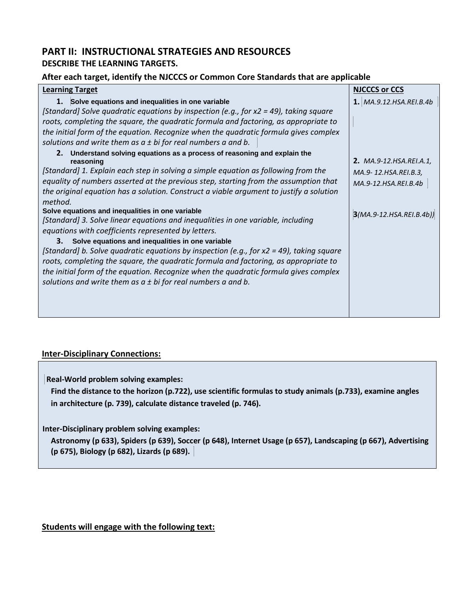# **PART II: INSTRUCTIONAL STRATEGIES AND RESOURCES DESCRIBE THE LEARNING TARGETS.**

# **After each target, identify the NJCCCS or Common Core Standards that are applicable**

| <b>Learning Target</b>                                                                                                                                                                                                                                                                                                                                                     | <b>NJCCCS or CCS</b>                                                           |
|----------------------------------------------------------------------------------------------------------------------------------------------------------------------------------------------------------------------------------------------------------------------------------------------------------------------------------------------------------------------------|--------------------------------------------------------------------------------|
| 1. Solve equations and inequalities in one variable                                                                                                                                                                                                                                                                                                                        | 1. MA.9.12.HSA.REI.B.4b                                                        |
| [Standard] Solve quadratic equations by inspection (e.g., for $x2 = 49$ ), taking square                                                                                                                                                                                                                                                                                   |                                                                                |
| roots, completing the square, the quadratic formula and factoring, as appropriate to                                                                                                                                                                                                                                                                                       |                                                                                |
| the initial form of the equation. Recognize when the quadratic formula gives complex                                                                                                                                                                                                                                                                                       |                                                                                |
| solutions and write them as $a \pm bi$ for real numbers a and b.                                                                                                                                                                                                                                                                                                           |                                                                                |
| 2. Understand solving equations as a process of reasoning and explain the<br>reasoning<br>[Standard] 1. Explain each step in solving a simple equation as following from the<br>equality of numbers asserted at the previous step, starting from the assumption that<br>the original equation has a solution. Construct a viable argument to justify a solution<br>method. | <b>2.</b> MA.9-12.HSA.REI.A.1,<br>MA.9-12.HSA.REI.B.3,<br>MA.9-12.HSA.REI.B.4b |
| Solve equations and inequalities in one variable                                                                                                                                                                                                                                                                                                                           | $3(MA.9-12.HSA.REI.B.4b)$                                                      |
| [Standard] 3. Solve linear equations and inequalities in one variable, including                                                                                                                                                                                                                                                                                           |                                                                                |
| equations with coefficients represented by letters.                                                                                                                                                                                                                                                                                                                        |                                                                                |
| 3. Solve equations and inequalities in one variable                                                                                                                                                                                                                                                                                                                        |                                                                                |
| [Standard] b. Solve quadratic equations by inspection (e.g., for $x2 = 49$ ), taking square                                                                                                                                                                                                                                                                                |                                                                                |
| roots, completing the square, the quadratic formula and factoring, as appropriate to                                                                                                                                                                                                                                                                                       |                                                                                |
| the initial form of the equation. Recognize when the quadratic formula gives complex                                                                                                                                                                                                                                                                                       |                                                                                |
| solutions and write them as $a \pm bi$ for real numbers a and b.                                                                                                                                                                                                                                                                                                           |                                                                                |
|                                                                                                                                                                                                                                                                                                                                                                            |                                                                                |
|                                                                                                                                                                                                                                                                                                                                                                            |                                                                                |
|                                                                                                                                                                                                                                                                                                                                                                            |                                                                                |

# **Inter-Disciplinary Connections:**

**Real-World problem solving examples:**

**Find the distance to the horizon (p.722), use scientific formulas to study animals (p.733), examine angles in architecture (p. 739), calculate distance traveled (p. 746).**

**Inter-Disciplinary problem solving examples:**

**Astronomy (p 633), Spiders (p 639), Soccer (p 648), Internet Usage (p 657), Landscaping (p 667), Advertising (p 675), Biology (p 682), Lizards (p 689).** 

# **Students will engage with the following text:**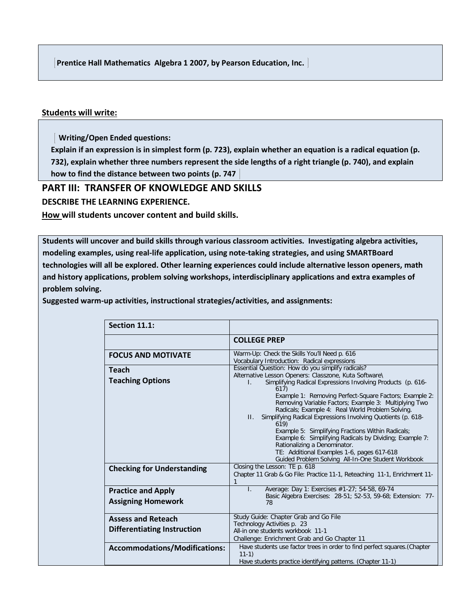**Prentice Hall Mathematics Algebra 1 2007, by Pearson Education, Inc.** 

### **Students will write:**

 **Writing/Open Ended questions:**

**Explain if an expression is in simplest form (p. 723), explain whether an equation is a radical equation (p. 732), explain whether three numbers represent the side lengths of a right triangle (p. 740), and explain how to find the distance between two points (p. 747** 

# **PART III: TRANSFER OF KNOWLEDGE AND SKILLS**

**DESCRIBE THE LEARNING EXPERIENCE.**

**How will students uncover content and build skills.** 

**Students will uncover and build skills through various classroom activities. Investigating algebra activities, modeling examples, using real-life application, using note-taking strategies, and using SMARTBoard technologies will all be explored. Other learning experiences could include alternative lesson openers, math and history applications, problem solving workshops, interdisciplinary applications and extra examples of problem solving.**

**Suggested warm-up activities, instructional strategies/activities, and assignments:** 

| Section 11.1:                                                   |                                                                                                                                                                                                                                                                                                                                                                                                                                                                                                                                                                                                                                                                                                       |
|-----------------------------------------------------------------|-------------------------------------------------------------------------------------------------------------------------------------------------------------------------------------------------------------------------------------------------------------------------------------------------------------------------------------------------------------------------------------------------------------------------------------------------------------------------------------------------------------------------------------------------------------------------------------------------------------------------------------------------------------------------------------------------------|
|                                                                 | <b>COLLEGE PREP</b>                                                                                                                                                                                                                                                                                                                                                                                                                                                                                                                                                                                                                                                                                   |
| <b>FOCUS AND MOTIVATE</b>                                       | Warm-Up: Check the Skills You'll Need p. 616<br>Vocabulary Introduction: Radical expressions                                                                                                                                                                                                                                                                                                                                                                                                                                                                                                                                                                                                          |
| <b>Teach</b><br><b>Teaching Options</b>                         | Essential Question: How do you simplify radicals?<br>Alternative Lesson Openers: Classzone, Kuta Software\<br>Simplifying Radical Expressions Involving Products (p. 616-<br>L.<br>617)<br>Example 1: Removing Perfect-Square Factors; Example 2:<br>Removing Variable Factors; Example 3: Multiplying Two<br>Radicals; Example 4: Real World Problem Solving.<br>Simplifying Radical Expressions Involving Quotients (p. 618-<br>$\Pi$ .<br>619)<br>Example 5: Simplifying Fractions Within Radicals;<br>Example 6: Simplifying Radicals by Dividing; Example 7:<br>Rationalizing a Denominator.<br>TE: Additional Examples 1-6, pages 617-618<br>Guided Problem Solving All-In-One Student Workbook |
| <b>Checking for Understanding</b>                               | Closing the Lesson: TE p. 618<br>Chapter 11 Grab & Go File: Practice 11-1, Reteaching 11-1, Enrichment 11-                                                                                                                                                                                                                                                                                                                                                                                                                                                                                                                                                                                            |
| <b>Practice and Apply</b><br><b>Assigning Homework</b>          | Average: Day 1: Exercises #1-27; 54-58, 69-74<br>$\mathbf{L}$<br>Basic Algebra Exercises: 28-51; 52-53, 59-68; Extension: 77-<br>78                                                                                                                                                                                                                                                                                                                                                                                                                                                                                                                                                                   |
| <b>Assess and Reteach</b><br><b>Differentiating Instruction</b> | Study Guide: Chapter Grab and Go File<br>Technology Activities p. 23<br>All-in one students workbook 11-1<br>Challenge: Enrichment Grab and Go Chapter 11                                                                                                                                                                                                                                                                                                                                                                                                                                                                                                                                             |
| <b>Accommodations/Modifications:</b>                            | Have students use factor trees in order to find perfect squares. (Chapter<br>$11-1)$<br>Have students practice identifying patterns. (Chapter 11-1)                                                                                                                                                                                                                                                                                                                                                                                                                                                                                                                                                   |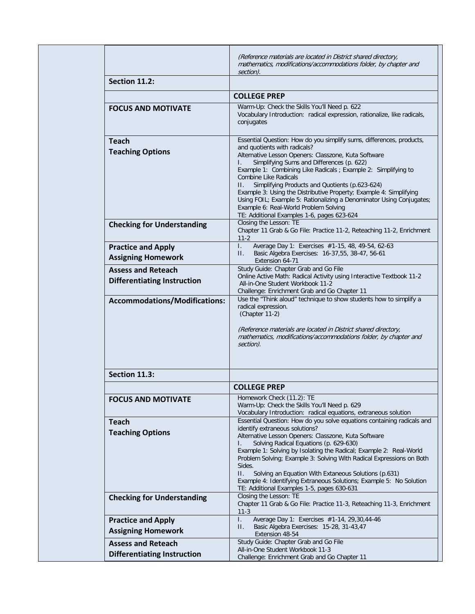|                                                                 | (Reference materials are located in District shared directory,<br>mathematics, modifications/accommodations folder, by chapter and<br>section).                                                                                                                                                                                                                                                                                                                                                                                                                                                                     |
|-----------------------------------------------------------------|---------------------------------------------------------------------------------------------------------------------------------------------------------------------------------------------------------------------------------------------------------------------------------------------------------------------------------------------------------------------------------------------------------------------------------------------------------------------------------------------------------------------------------------------------------------------------------------------------------------------|
| Section 11.2:                                                   |                                                                                                                                                                                                                                                                                                                                                                                                                                                                                                                                                                                                                     |
|                                                                 | <b>COLLEGE PREP</b>                                                                                                                                                                                                                                                                                                                                                                                                                                                                                                                                                                                                 |
| <b>FOCUS AND MOTIVATE</b>                                       | Warm-Up: Check the Skills You'll Need p. 622<br>Vocabulary Introduction: radical expression, rationalize, like radicals,<br>conjugates                                                                                                                                                                                                                                                                                                                                                                                                                                                                              |
| <b>Teach</b><br><b>Teaching Options</b>                         | Essential Question: How do you simplify sums, differences, products,<br>and quotients with radicals?<br>Alternative Lesson Openers: Classzone, Kuta Software<br>Simplifying Sums and Differences (p. 622)<br>I.<br>Example 1: Combining Like Radicals ; Example 2: Simplifying to<br><b>Combine Like Radicals</b><br>Simplifying Products and Quotients (p.623-624)<br>$\Pi$ .<br>Example 3: Using the Distributive Property; Example 4: Simplifying<br>Using FOIL; Example 5: Rationalizing a Denominator Using Conjugates;<br>Example 6: Real-World Problem Solving<br>TE: Additional Examples 1-6, pages 623-624 |
| <b>Checking for Understanding</b>                               | Closing the Lesson: TE<br>Chapter 11 Grab & Go File: Practice 11-2, Reteaching 11-2, Enrichment<br>$11-2$                                                                                                                                                                                                                                                                                                                                                                                                                                                                                                           |
| <b>Practice and Apply</b><br><b>Assigning Homework</b>          | $\mathbf{L}$<br>Average Day 1: Exercises #1-15, 48, 49-54, 62-63<br>Basic Algebra Exercises: 16-37,55, 38-47, 56-61<br>$\Pi$ .<br>Extension 64-71                                                                                                                                                                                                                                                                                                                                                                                                                                                                   |
| <b>Assess and Reteach</b><br><b>Differentiating Instruction</b> | Study Guide: Chapter Grab and Go File<br>Online Active Math: Radical Activity using Interactive Textbook 11-2<br>All-in-One Student Workbook 11-2<br>Challenge: Enrichment Grab and Go Chapter 11                                                                                                                                                                                                                                                                                                                                                                                                                   |
| <b>Accommodations/Modifications:</b>                            | Use the "Think aloud" technique to show students how to simplify a<br>radical expression.<br>(Chapter 11-2)<br>(Reference materials are located in District shared directory,<br>mathematics, modifications/accommodations folder, by chapter and<br>section).                                                                                                                                                                                                                                                                                                                                                      |
| Section 11.3:                                                   |                                                                                                                                                                                                                                                                                                                                                                                                                                                                                                                                                                                                                     |
|                                                                 | <b>COLLEGE PREP</b>                                                                                                                                                                                                                                                                                                                                                                                                                                                                                                                                                                                                 |
| <b>FOCUS AND MOTIVATE</b>                                       | Homework Check (11.2): TE<br>Warm-Up: Check the Skills You'll Need p. 629<br>Vocabulary Introduction: radical equations, extraneous solution                                                                                                                                                                                                                                                                                                                                                                                                                                                                        |
| <b>Teach</b><br><b>Teaching Options</b>                         | Essential Question: How do you solve equations containing radicals and<br>identify extraneous solutions?<br>Alternative Lesson Openers: Classzone, Kuta Software<br>Solving Radical Equations (p. 629-630)<br>I.<br>Example 1: Solving by Isolating the Radical; Example 2: Real-World<br>Problem Solving; Example 3: Solving With Radical Expressions on Both<br>Sides.<br>П.<br>Solving an Equation With Extaneous Solutions (p.631)<br>Example 4: Identifying Extraneous Solutions; Example 5: No Solution<br>TE: Additional Examples 1-5, pages 630-631                                                         |
| <b>Checking for Understanding</b>                               | Closing the Lesson: TE<br>Chapter 11 Grab & Go File: Practice 11-3, Reteaching 11-3, Enrichment<br>$11-3$                                                                                                                                                                                                                                                                                                                                                                                                                                                                                                           |
| <b>Practice and Apply</b><br><b>Assigning Homework</b>          | L.<br>Average Day 1: Exercises #1-14, 29,30,44-46<br>Basic Algebra Exercises: 15-28, 31-43,47<br>П.<br>Extension 48-54                                                                                                                                                                                                                                                                                                                                                                                                                                                                                              |
| <b>Assess and Reteach</b><br><b>Differentiating Instruction</b> | Study Guide: Chapter Grab and Go File<br>All-in-One Student Workbook 11-3<br>Challenge: Enrichment Grab and Go Chapter 11                                                                                                                                                                                                                                                                                                                                                                                                                                                                                           |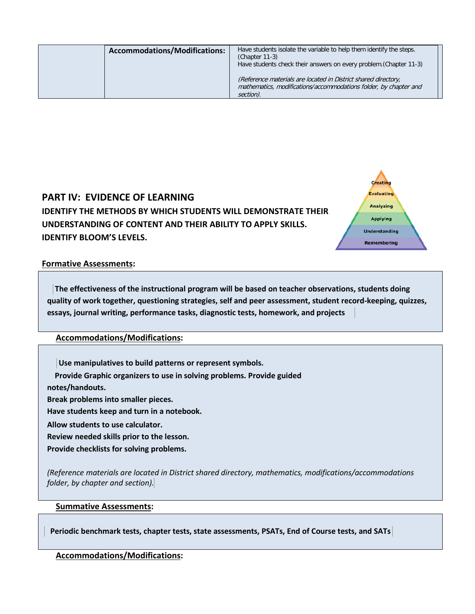| <b>Accommodations/Modifications:</b> | Have students isolate the variable to help them identify the steps.<br>$(Chapter 11-3)$<br>Have students check their answers on every problem. (Chapter 11-3) |
|--------------------------------------|---------------------------------------------------------------------------------------------------------------------------------------------------------------|
|                                      | (Reference materials are located in District shared directory,<br>mathematics, modifications/accommodations folder, by chapter and<br>section).               |



### **Formative Assessments:**

**The effectiveness of the instructional program will be based on teacher observations, students doing quality of work together, questioning strategies, self and peer assessment, student record-keeping, quizzes, essays, journal writing, performance tasks, diagnostic tests, homework, and projects** 

# **Accommodations/Modifications:**

**Use manipulatives to build patterns or represent symbols. Provide Graphic organizers to use in solving problems. Provide guided notes/handouts. Break problems into smaller pieces. Have students keep and turn in a notebook. Allow students to use calculator. Review needed skills prior to the lesson. Provide checklists for solving problems.**

*(Reference materials are located in District shared directory, mathematics, modifications/accommodations folder, by chapter and section).*

### **Summative Assessments:**

 **Periodic benchmark tests, chapter tests, state assessments, PSATs, End of Course tests, and SATs**

### **Accommodations/Modifications:**